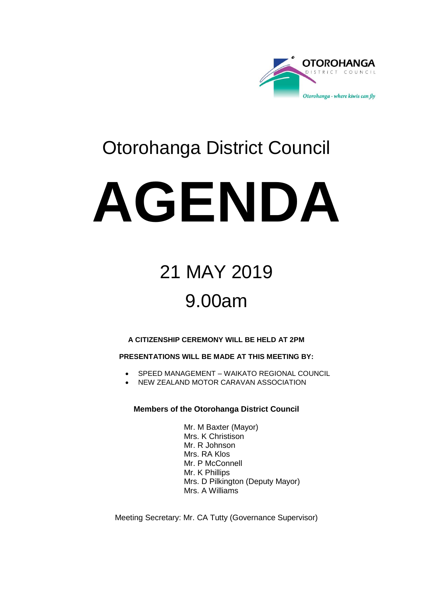

## Otorohanga District Council

# **AGENDA**

## 21 MAY 2019 9.00am

#### **A CITIZENSHIP CEREMONY WILL BE HELD AT 2PM**

#### **PRESENTATIONS WILL BE MADE AT THIS MEETING BY:**

- SPEED MANAGEMENT WAIKATO REGIONAL COUNCIL
- **NEW ZEALAND MOTOR CARAVAN ASSOCIATION**

#### **Members of the Otorohanga District Council**

Mr. M Baxter (Mayor) Mrs. K Christison Mr. R Johnson Mrs. RA Klos Mr. P McConnell Mr. K Phillips Mrs. D Pilkington (Deputy Mayor) Mrs. A Williams

Meeting Secretary: Mr. CA Tutty (Governance Supervisor)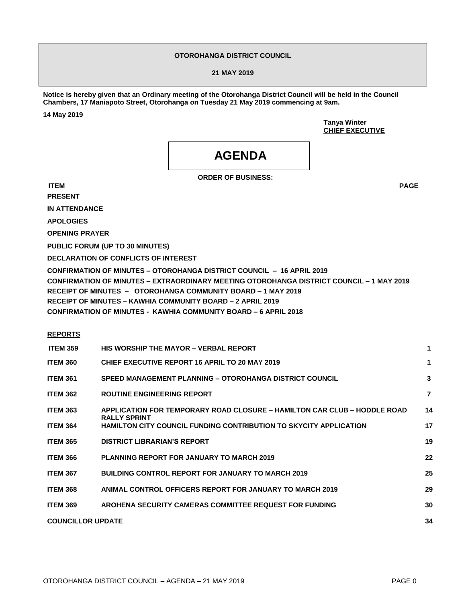#### **OTOROHANGA DISTRICT COUNCIL**

#### **21 MAY 2019**

**Notice is hereby given that an Ordinary meeting of the Otorohanga District Council will be held in the Council Chambers, 17 Maniapoto Street, Otorohanga on Tuesday 21 May 2019 commencing at 9am.** 

**14 May 2019**

**Tanya Winter CHIEF EXECUTIVE**

### **AGENDA**

**ORDER OF BUSINESS:**

**ITEM PAGE PRESENT**

**IN ATTENDANCE**

**APOLOGIES**

**OPENING PRAYER**

**PUBLIC FORUM (UP TO 30 MINUTES)**

**DECLARATION OF CONFLICTS OF INTEREST**

**CONFIRMATION OF MINUTES – OTOROHANGA DISTRICT COUNCIL – 16 APRIL 2019 CONFIRMATION OF MINUTES – EXTRAORDINARY MEETING OTOROHANGA DISTRICT COUNCIL – 1 MAY 2019 RECEIPT OF MINUTES – OTOROHANGA COMMUNITY BOARD – 1 MAY 2019 RECEIPT OF MINUTES – KAWHIA COMMUNITY BOARD – 2 APRIL 2019 CONFIRMATION OF MINUTES - KAWHIA COMMUNITY BOARD – 6 APRIL 2018**

#### **REPORTS**

| <b>HIS WORSHIP THE MAYOR - VERBAL REPORT</b>                             | 1                   |
|--------------------------------------------------------------------------|---------------------|
| CHIEF EXECUTIVE REPORT 16 APRIL TO 20 MAY 2019                           | 1                   |
| SPEED MANAGEMENT PLANNING - OTOROHANGA DISTRICT COUNCIL                  | 3                   |
| <b>ROUTINE ENGINEERING REPORT</b>                                        | $\overline{7}$      |
| APPLICATION FOR TEMPORARY ROAD CLOSURE – HAMILTON CAR CLUB – HODDLE ROAD | 14                  |
| HAMILTON CITY COUNCIL FUNDING CONTRIBUTION TO SKYCITY APPLICATION        | 17                  |
| <b>DISTRICT LIBRARIAN'S REPORT</b>                                       | 19                  |
| <b>PLANNING REPORT FOR JANUARY TO MARCH 2019</b>                         | 22                  |
| <b>BUILDING CONTROL REPORT FOR JANUARY TO MARCH 2019</b>                 | 25                  |
| ANIMAL CONTROL OFFICERS REPORT FOR JANUARY TO MARCH 2019                 | 29                  |
| AROHENA SECURITY CAMERAS COMMITTEE REQUEST FOR FUNDING                   | 30                  |
| <b>COUNCILLOR UPDATE</b>                                                 | 34                  |
|                                                                          | <b>RALLY SPRINT</b> |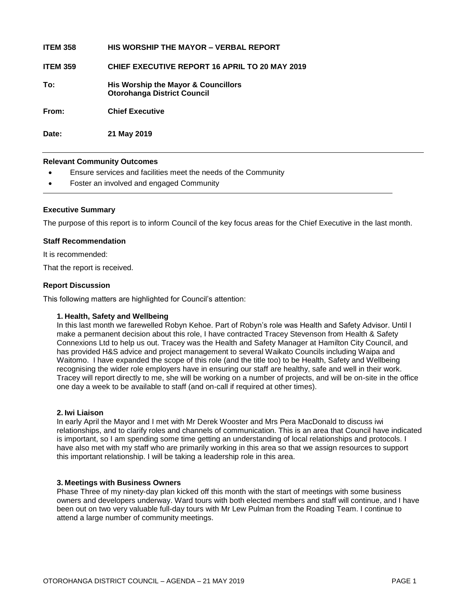| <b>ITEM 358</b> | <b>HIS WORSHIP THE MAYOR – VERBAL REPORT</b>                              |
|-----------------|---------------------------------------------------------------------------|
| <b>ITEM 359</b> | <b>CHIEF EXECUTIVE REPORT 16 APRIL TO 20 MAY 2019</b>                     |
| To:             | His Worship the Mayor & Councillors<br><b>Otorohanga District Council</b> |
| From:           | <b>Chief Executive</b>                                                    |
| Date:           | 21 May 2019                                                               |

#### **Relevant Community Outcomes**

- Ensure services and facilities meet the needs of the Community
- Foster an involved and engaged Community

#### **Executive Summary**

The purpose of this report is to inform Council of the key focus areas for the Chief Executive in the last month.

#### **Staff Recommendation**

It is recommended:

That the report is received.

#### **Report Discussion**

This following matters are highlighted for Council's attention:

#### **1. Health, Safety and Wellbeing**

In this last month we farewelled Robyn Kehoe. Part of Robyn's role was Health and Safety Advisor. Until I make a permanent decision about this role, I have contracted Tracey Stevenson from Health & Safety Connexions Ltd to help us out. Tracey was the Health and Safety Manager at Hamilton City Council, and has provided H&S advice and project management to several Waikato Councils including Waipa and Waitomo. I have expanded the scope of this role (and the title too) to be Health, Safety and Wellbeing recognising the wider role employers have in ensuring our staff are healthy, safe and well in their work. Tracey will report directly to me, she will be working on a number of projects, and will be on-site in the office one day a week to be available to staff (and on-call if required at other times).

#### **2. Iwi Liaison**

In early April the Mayor and I met with Mr Derek Wooster and Mrs Pera MacDonald to discuss iwi relationships, and to clarify roles and channels of communication. This is an area that Council have indicated is important, so I am spending some time getting an understanding of local relationships and protocols. I have also met with my staff who are primarily working in this area so that we assign resources to support this important relationship. I will be taking a leadership role in this area.

#### **3. Meetings with Business Owners**

Phase Three of my ninety-day plan kicked off this month with the start of meetings with some business owners and developers underway. Ward tours with both elected members and staff will continue, and I have been out on two very valuable full-day tours with Mr Lew Pulman from the Roading Team. I continue to attend a large number of community meetings.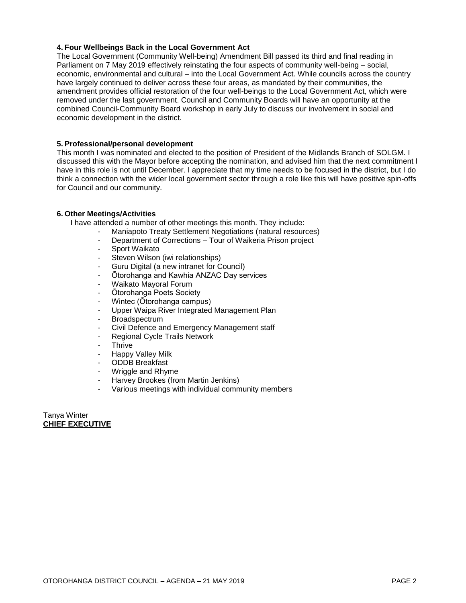#### **4. Four Wellbeings Back in the Local Government Act**

The Local Government (Community Well-being) Amendment Bill passed its third and final reading in Parliament on 7 May 2019 effectively reinstating the four aspects of community well-being – social, economic, environmental and cultural – into the Local Government Act. While councils across the country have largely continued to deliver across these four areas, as mandated by their communities, the amendment provides official restoration of the four well-beings to the Local Government Act, which were removed under the last government. Council and Community Boards will have an opportunity at the combined Council-Community Board workshop in early July to discuss our involvement in social and economic development in the district.

#### **5. Professional/personal development**

This month I was nominated and elected to the position of President of the Midlands Branch of SOLGM. I discussed this with the Mayor before accepting the nomination, and advised him that the next commitment I have in this role is not until December. I appreciate that my time needs to be focused in the district, but I do think a connection with the wider local government sector through a role like this will have positive spin-offs for Council and our community.

#### **6. Other Meetings/Activities**

I have attended a number of other meetings this month. They include:

- Maniapoto Treaty Settlement Negotiations (natural resources)
- Department of Corrections Tour of Waikeria Prison project
- Sport Waikato
- Steven Wilson (iwi relationships)
- Guru Digital (a new intranet for Council)
- Ōtorohanga and Kawhia ANZAC Day services
- Waikato Mayoral Forum
- Ōtorohanga Poets Society
- Wintec (Ōtorohanga campus)
- Upper Waipa River Integrated Management Plan
- **Broadspectrum**
- Civil Defence and Emergency Management staff
- Regional Cycle Trails Network
- Thrive
- Happy Valley Milk
- ODDB Breakfast
- Wriggle and Rhyme
- Harvey Brookes (from Martin Jenkins)
- Various meetings with individual community members

Tanya Winter **CHIEF EXECUTIVE**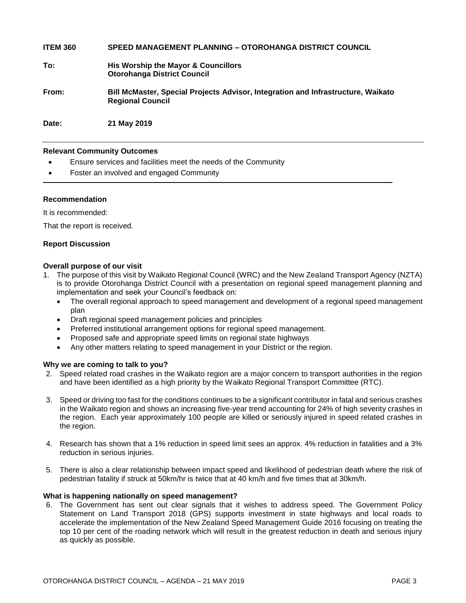**ITEM 360 SPEED MANAGEMENT PLANNING – OTOROHANGA DISTRICT COUNCIL To: His Worship the Mayor & Councillors Otorohanga District Council From: Bill McMaster, Special Projects Advisor, Integration and Infrastructure, Waikato Regional Council Date: 21 May 2019**

#### **Relevant Community Outcomes**

- Ensure services and facilities meet the needs of the Community
- Foster an involved and engaged Community

#### **Recommendation**

It is recommended:

That the report is received.

#### **Report Discussion**

#### **Overall purpose of our visit**

- 1. The purpose of this visit by Waikato Regional Council (WRC) and the New Zealand Transport Agency (NZTA) is to provide Otorohanga District Council with a presentation on regional speed management planning and implementation and seek your Council's feedback on:
	- The overall regional approach to speed management and development of a regional speed management plan
	- Draft regional speed management policies and principles
	- Preferred institutional arrangement options for regional speed management.
	- Proposed safe and appropriate speed limits on regional state highways
	- Any other matters relating to speed management in your District or the region.

#### **Why we are coming to talk to you?**

- 2. Speed related road crashes in the Waikato region are a major concern to transport authorities in the region and have been identified as a high priority by the Waikato Regional Transport Committee (RTC).
- 3. Speed or driving too fast for the conditions continues to be a significant contributor in fatal and serious crashes in the Waikato region and shows an increasing five-year trend accounting for 24% of high severity crashes in the region. Each year approximately 100 people are killed or seriously injured in speed related crashes in the region.
- 4. Research has shown that a 1% reduction in speed limit sees an approx. 4% reduction in fatalities and a 3% reduction in serious injuries.
- 5. There is also a clear relationship between impact speed and likelihood of pedestrian death where the risk of pedestrian fatality if struck at 50km/hr is twice that at 40 km/h and five times that at 30km/h.

#### **What is happening nationally on speed management?**

6. The Government has sent out clear signals that it wishes to address speed. The Government Policy Statement on Land Transport 2018 (GPS) supports investment in state highways and local roads to accelerate the implementation of the New Zealand Speed Management Guide 2016 focusing on treating the top 10 per cent of the roading network which will result in the greatest reduction in death and serious injury as quickly as possible.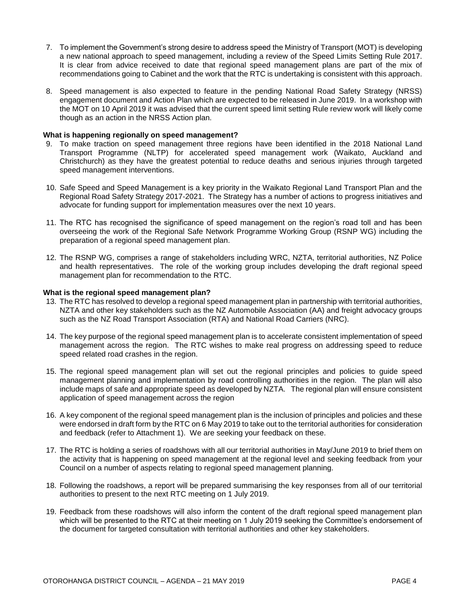- 7. To implement the Government's strong desire to address speed the Ministry of Transport (MOT) is developing a new national approach to speed management, including a review of the Speed Limits Setting Rule 2017. It is clear from advice received to date that regional speed management plans are part of the mix of recommendations going to Cabinet and the work that the RTC is undertaking is consistent with this approach.
- 8. Speed management is also expected to feature in the pending National Road Safety Strategy (NRSS) engagement document and Action Plan which are expected to be released in June 2019. In a workshop with the MOT on 10 April 2019 it was advised that the current speed limit setting Rule review work will likely come though as an action in the NRSS Action plan.

#### **What is happening regionally on speed management?**

- 9. To make traction on speed management three regions have been identified in the 2018 National Land Transport Programme (NLTP) for accelerated speed management work (Waikato, Auckland and Christchurch) as they have the greatest potential to reduce deaths and serious injuries through targeted speed management interventions.
- 10. Safe Speed and Speed Management is a key priority in the Waikato Regional Land Transport Plan and the Regional Road Safety Strategy 2017-2021. The Strategy has a number of actions to progress initiatives and advocate for funding support for implementation measures over the next 10 years.
- 11. The RTC has recognised the significance of speed management on the region's road toll and has been overseeing the work of the Regional Safe Network Programme Working Group (RSNP WG) including the preparation of a regional speed management plan.
- 12. The RSNP WG, comprises a range of stakeholders including WRC, NZTA, territorial authorities, NZ Police and health representatives. The role of the working group includes developing the draft regional speed management plan for recommendation to the RTC.

#### **What is the regional speed management plan?**

- 13. The RTC has resolved to develop a regional speed management plan in partnership with territorial authorities, NZTA and other key stakeholders such as the NZ Automobile Association (AA) and freight advocacy groups such as the NZ Road Transport Association (RTA) and National Road Carriers (NRC).
- 14. The key purpose of the regional speed management plan is to accelerate consistent implementation of speed management across the region. The RTC wishes to make real progress on addressing speed to reduce speed related road crashes in the region.
- 15. The regional speed management plan will set out the regional principles and policies to guide speed management planning and implementation by road controlling authorities in the region. The plan will also include maps of safe and appropriate speed as developed by NZTA. The regional plan will ensure consistent application of speed management across the region
- 16. A key component of the regional speed management plan is the inclusion of principles and policies and these were endorsed in draft form by the RTC on 6 May 2019 to take out to the territorial authorities for consideration and feedback (refer to Attachment 1). We are seeking your feedback on these.
- 17. The RTC is holding a series of roadshows with all our territorial authorities in May/June 2019 to brief them on the activity that is happening on speed management at the regional level and seeking feedback from your Council on a number of aspects relating to regional speed management planning.
- 18. Following the roadshows, a report will be prepared summarising the key responses from all of our territorial authorities to present to the next RTC meeting on 1 July 2019.
- 19. Feedback from these roadshows will also inform the content of the draft regional speed management plan which will be presented to the RTC at their meeting on 1 July 2019 seeking the Committee's endorsement of the document for targeted consultation with territorial authorities and other key stakeholders.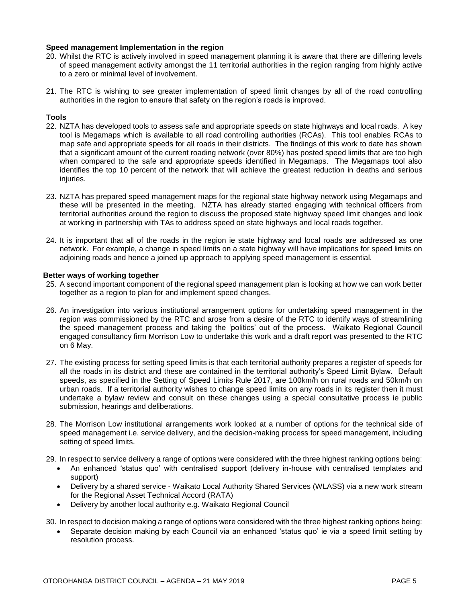#### **Speed management Implementation in the region**

- 20. Whilst the RTC is actively involved in speed management planning it is aware that there are differing levels of speed management activity amongst the 11 territorial authorities in the region ranging from highly active to a zero or minimal level of involvement.
- 21. The RTC is wishing to see greater implementation of speed limit changes by all of the road controlling authorities in the region to ensure that safety on the region's roads is improved.

#### **Tools**

- 22. NZTA has developed tools to assess safe and appropriate speeds on state highways and local roads. A key tool is Megamaps which is available to all road controlling authorities (RCAs). This tool enables RCAs to map safe and appropriate speeds for all roads in their districts. The findings of this work to date has shown that a significant amount of the current roading network (over 80%) has posted speed limits that are too high when compared to the safe and appropriate speeds identified in Megamaps. The Megamaps tool also identifies the top 10 percent of the network that will achieve the greatest reduction in deaths and serious injuries.
- 23. NZTA has prepared speed management maps for the regional state highway network using Megamaps and these will be presented in the meeting. NZTA has already started engaging with technical officers from territorial authorities around the region to discuss the proposed state highway speed limit changes and look at working in partnership with TAs to address speed on state highways and local roads together.
- 24. It is important that all of the roads in the region ie state highway and local roads are addressed as one network. For example, a change in speed limits on a state highway will have implications for speed limits on adjoining roads and hence a joined up approach to applying speed management is essential.

#### **Better ways of working together**

- 25. A second important component of the regional speed management plan is looking at how we can work better together as a region to plan for and implement speed changes.
- 26. An investigation into various institutional arrangement options for undertaking speed management in the region was commissioned by the RTC and arose from a desire of the RTC to identify ways of streamlining the speed management process and taking the 'politics' out of the process. Waikato Regional Council engaged consultancy firm Morrison Low to undertake this work and a draft report was presented to the RTC on 6 May.
- 27. The existing process for setting speed limits is that each territorial authority prepares a register of speeds for all the roads in its district and these are contained in the territorial authority's Speed Limit Bylaw. Default speeds, as specified in the Setting of Speed Limits Rule 2017, are 100km/h on rural roads and 50km/h on urban roads. If a territorial authority wishes to change speed limits on any roads in its register then it must undertake a bylaw review and consult on these changes using a special consultative process ie public submission, hearings and deliberations.
- 28. The Morrison Low institutional arrangements work looked at a number of options for the technical side of speed management i.e. service delivery, and the decision-making process for speed management, including setting of speed limits.
- 29. In respect to service delivery a range of options were considered with the three highest ranking options being:
	- An enhanced 'status quo' with centralised support (delivery in-house with centralised templates and support)
	- Delivery by a shared service Waikato Local Authority Shared Services (WLASS) via a new work stream for the Regional Asset Technical Accord (RATA)
	- Delivery by another local authority e.g. Waikato Regional Council
- 30. In respect to decision making a range of options were considered with the three highest ranking options being:
	- Separate decision making by each Council via an enhanced 'status quo' ie via a speed limit setting by resolution process.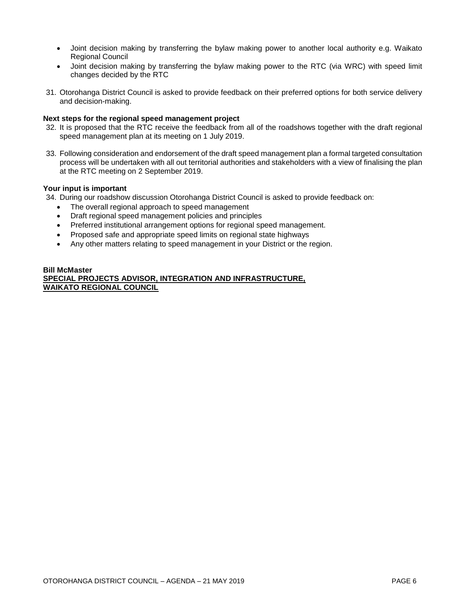- Joint decision making by transferring the bylaw making power to another local authority e.g. Waikato Regional Council
- Joint decision making by transferring the bylaw making power to the RTC (via WRC) with speed limit changes decided by the RTC
- 31. Otorohanga District Council is asked to provide feedback on their preferred options for both service delivery and decision-making.

#### **Next steps for the regional speed management project**

- 32. It is proposed that the RTC receive the feedback from all of the roadshows together with the draft regional speed management plan at its meeting on 1 July 2019.
- 33. Following consideration and endorsement of the draft speed management plan a formal targeted consultation process will be undertaken with all out territorial authorities and stakeholders with a view of finalising the plan at the RTC meeting on 2 September 2019.

#### **Your input is important**

- 34. During our roadshow discussion Otorohanga District Council is asked to provide feedback on:
	- The overall regional approach to speed management
	- Draft regional speed management policies and principles
	- Preferred institutional arrangement options for regional speed management.
	- Proposed safe and appropriate speed limits on regional state highways
	- Any other matters relating to speed management in your District or the region.

#### **Bill McMaster**

**SPECIAL PROJECTS ADVISOR, INTEGRATION AND INFRASTRUCTURE, WAIKATO REGIONAL COUNCIL**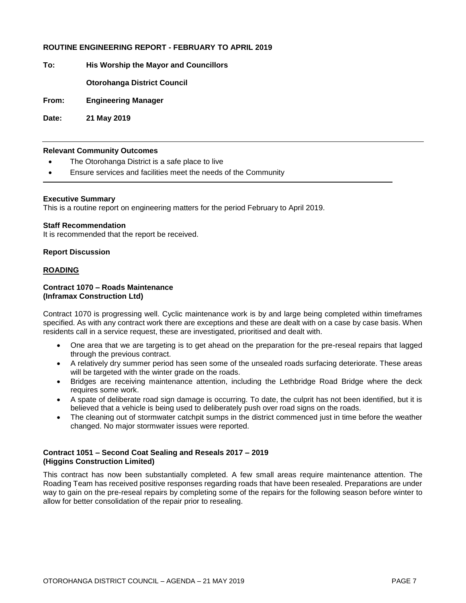#### **ROUTINE ENGINEERING REPORT - FEBRUARY TO APRIL 2019**

**To: His Worship the Mayor and Councillors**

**Otorohanga District Council**

**From: Engineering Manager**

**Date: 21 May 2019**

#### **Relevant Community Outcomes**

- The Otorohanga District is a safe place to live
- Ensure services and facilities meet the needs of the Community

#### **Executive Summary**

This is a routine report on engineering matters for the period February to April 2019.

#### **Staff Recommendation**

It is recommended that the report be received.

#### **Report Discussion**

#### **ROADING**

#### **Contract 1070 – Roads Maintenance (Inframax Construction Ltd)**

Contract 1070 is progressing well. Cyclic maintenance work is by and large being completed within timeframes specified. As with any contract work there are exceptions and these are dealt with on a case by case basis. When residents call in a service request, these are investigated, prioritised and dealt with.

- One area that we are targeting is to get ahead on the preparation for the pre-reseal repairs that lagged through the previous contract.
- A relatively dry summer period has seen some of the unsealed roads surfacing deteriorate. These areas will be targeted with the winter grade on the roads.
- Bridges are receiving maintenance attention, including the Lethbridge Road Bridge where the deck requires some work.
- A spate of deliberate road sign damage is occurring. To date, the culprit has not been identified, but it is believed that a vehicle is being used to deliberately push over road signs on the roads.
- The cleaning out of stormwater catchpit sumps in the district commenced just in time before the weather changed. No major stormwater issues were reported.

#### **Contract 1051 – Second Coat Sealing and Reseals 2017 – 2019 (Higgins Construction Limited)**

This contract has now been substantially completed. A few small areas require maintenance attention. The Roading Team has received positive responses regarding roads that have been resealed. Preparations are under way to gain on the pre-reseal repairs by completing some of the repairs for the following season before winter to allow for better consolidation of the repair prior to resealing.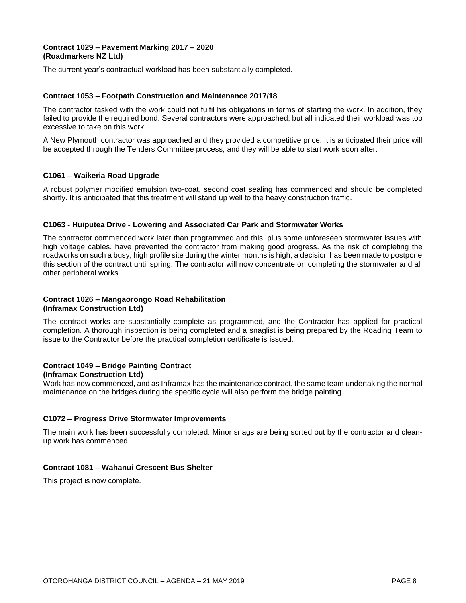#### **Contract 1029 – Pavement Marking 2017 – 2020 (Roadmarkers NZ Ltd)**

The current year's contractual workload has been substantially completed.

#### **Contract 1053 – Footpath Construction and Maintenance 2017/18**

The contractor tasked with the work could not fulfil his obligations in terms of starting the work. In addition, they failed to provide the required bond. Several contractors were approached, but all indicated their workload was too excessive to take on this work.

A New Plymouth contractor was approached and they provided a competitive price. It is anticipated their price will be accepted through the Tenders Committee process, and they will be able to start work soon after.

#### **C1061 – Waikeria Road Upgrade**

A robust polymer modified emulsion two-coat, second coat sealing has commenced and should be completed shortly. It is anticipated that this treatment will stand up well to the heavy construction traffic.

#### **C1063 - Huiputea Drive - Lowering and Associated Car Park and Stormwater Works**

The contractor commenced work later than programmed and this, plus some unforeseen stormwater issues with high voltage cables, have prevented the contractor from making good progress. As the risk of completing the roadworks on such a busy, high profile site during the winter months is high, a decision has been made to postpone this section of the contract until spring. The contractor will now concentrate on completing the stormwater and all other peripheral works.

#### **Contract 1026 – Mangaorongo Road Rehabilitation (Inframax Construction Ltd)**

The contract works are substantially complete as programmed, and the Contractor has applied for practical completion. A thorough inspection is being completed and a snaglist is being prepared by the Roading Team to issue to the Contractor before the practical completion certificate is issued.

#### **Contract 1049 – Bridge Painting Contract (Inframax Construction Ltd)**

Work has now commenced, and as Inframax has the maintenance contract, the same team undertaking the normal

maintenance on the bridges during the specific cycle will also perform the bridge painting.

#### **C1072 – Progress Drive Stormwater Improvements**

The main work has been successfully completed. Minor snags are being sorted out by the contractor and cleanup work has commenced.

#### **Contract 1081 – Wahanui Crescent Bus Shelter**

This project is now complete.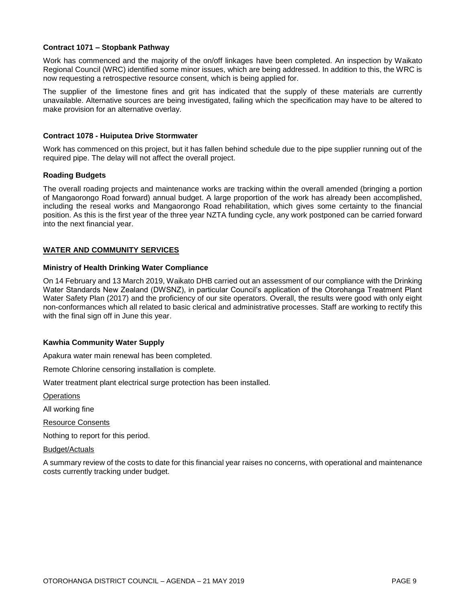#### **Contract 1071 – Stopbank Pathway**

Work has commenced and the majority of the on/off linkages have been completed. An inspection by Waikato Regional Council (WRC) identified some minor issues, which are being addressed. In addition to this, the WRC is now requesting a retrospective resource consent, which is being applied for.

The supplier of the limestone fines and grit has indicated that the supply of these materials are currently unavailable. Alternative sources are being investigated, failing which the specification may have to be altered to make provision for an alternative overlay.

#### **Contract 1078 - Huiputea Drive Stormwater**

Work has commenced on this project, but it has fallen behind schedule due to the pipe supplier running out of the required pipe. The delay will not affect the overall project.

#### **Roading Budgets**

The overall roading projects and maintenance works are tracking within the overall amended (bringing a portion of Mangaorongo Road forward) annual budget. A large proportion of the work has already been accomplished, including the reseal works and Mangaorongo Road rehabilitation, which gives some certainty to the financial position. As this is the first year of the three year NZTA funding cycle, any work postponed can be carried forward into the next financial year.

#### **WATER AND COMMUNITY SERVICES**

#### **Ministry of Health Drinking Water Compliance**

On 14 February and 13 March 2019, Waikato DHB carried out an assessment of our compliance with the Drinking Water Standards New Zealand (DWSNZ), in particular Council's application of the Otorohanga Treatment Plant Water Safety Plan (2017) and the proficiency of our site operators. Overall, the results were good with only eight non-conformances which all related to basic clerical and administrative processes. Staff are working to rectify this with the final sign off in June this year.

#### **Kawhia Community Water Supply**

Apakura water main renewal has been completed.

Remote Chlorine censoring installation is complete.

Water treatment plant electrical surge protection has been installed.

**Operations** 

All working fine

Resource Consents

Nothing to report for this period.

Budget/Actuals

A summary review of the costs to date for this financial year raises no concerns, with operational and maintenance costs currently tracking under budget.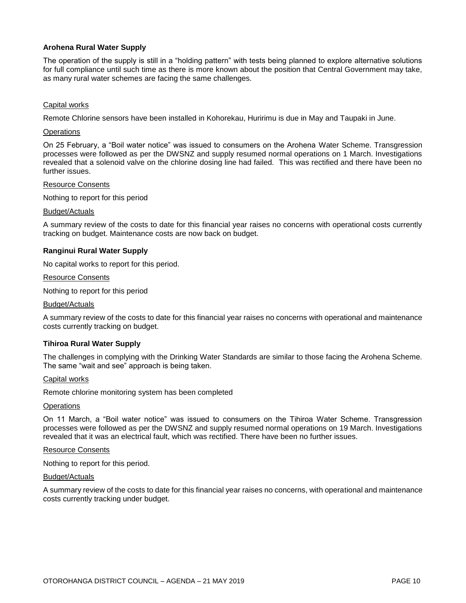#### **Arohena Rural Water Supply**

The operation of the supply is still in a "holding pattern" with tests being planned to explore alternative solutions for full compliance until such time as there is more known about the position that Central Government may take, as many rural water schemes are facing the same challenges.

#### Capital works

Remote Chlorine sensors have been installed in Kohorekau, Huririmu is due in May and Taupaki in June.

#### **Operations**

On 25 February, a "Boil water notice" was issued to consumers on the Arohena Water Scheme. Transgression processes were followed as per the DWSNZ and supply resumed normal operations on 1 March. Investigations revealed that a solenoid valve on the chlorine dosing line had failed. This was rectified and there have been no further issues.

#### Resource Consents

Nothing to report for this period

#### Budget/Actuals

A summary review of the costs to date for this financial year raises no concerns with operational costs currently tracking on budget. Maintenance costs are now back on budget.

#### **Ranginui Rural Water Supply**

No capital works to report for this period.

#### Resource Consents

Nothing to report for this period

#### Budget/Actuals

A summary review of the costs to date for this financial year raises no concerns with operational and maintenance costs currently tracking on budget.

#### **Tihiroa Rural Water Supply**

The challenges in complying with the Drinking Water Standards are similar to those facing the Arohena Scheme. The same "wait and see" approach is being taken.

#### Capital works

Remote chlorine monitoring system has been completed

#### **Operations**

On 11 March, a "Boil water notice" was issued to consumers on the Tihiroa Water Scheme. Transgression processes were followed as per the DWSNZ and supply resumed normal operations on 19 March. Investigations revealed that it was an electrical fault, which was rectified. There have been no further issues.

#### Resource Consents

Nothing to report for this period.

#### Budget/Actuals

A summary review of the costs to date for this financial year raises no concerns, with operational and maintenance costs currently tracking under budget.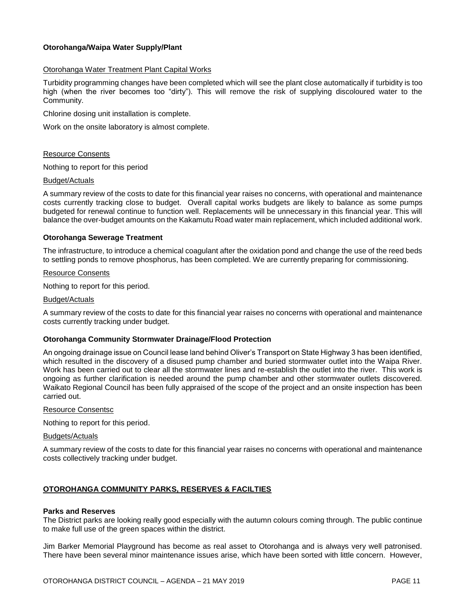#### **Otorohanga/Waipa Water Supply/Plant**

#### Otorohanga Water Treatment Plant Capital Works

Turbidity programming changes have been completed which will see the plant close automatically if turbidity is too high (when the river becomes too "dirty"). This will remove the risk of supplying discoloured water to the Community.

Chlorine dosing unit installation is complete.

Work on the onsite laboratory is almost complete.

#### Resource Consents

Nothing to report for this period

#### Budget/Actuals

A summary review of the costs to date for this financial year raises no concerns, with operational and maintenance costs currently tracking close to budget. Overall capital works budgets are likely to balance as some pumps budgeted for renewal continue to function well. Replacements will be unnecessary in this financial year. This will balance the over-budget amounts on the Kakamutu Road water main replacement, which included additional work.

#### **Otorohanga Sewerage Treatment**

The infrastructure, to introduce a chemical coagulant after the oxidation pond and change the use of the reed beds to settling ponds to remove phosphorus, has been completed. We are currently preparing for commissioning.

#### Resource Consents

Nothing to report for this period.

#### Budget/Actuals

A summary review of the costs to date for this financial year raises no concerns with operational and maintenance costs currently tracking under budget.

#### **Otorohanga Community Stormwater Drainage/Flood Protection**

An ongoing drainage issue on Council lease land behind Oliver's Transport on State Highway 3 has been identified, which resulted in the discovery of a disused pump chamber and buried stormwater outlet into the Waipa River. Work has been carried out to clear all the stormwater lines and re-establish the outlet into the river. This work is ongoing as further clarification is needed around the pump chamber and other stormwater outlets discovered. Waikato Regional Council has been fully appraised of the scope of the project and an onsite inspection has been carried out.

#### Resource Consentsc

Nothing to report for this period.

#### Budgets/Actuals

A summary review of the costs to date for this financial year raises no concerns with operational and maintenance costs collectively tracking under budget.

#### **OTOROHANGA COMMUNITY PARKS, RESERVES & FACILTIES**

#### **Parks and Reserves**

The District parks are looking really good especially with the autumn colours coming through. The public continue to make full use of the green spaces within the district.

Jim Barker Memorial Playground has become as real asset to Otorohanga and is always very well patronised. There have been several minor maintenance issues arise, which have been sorted with little concern. However,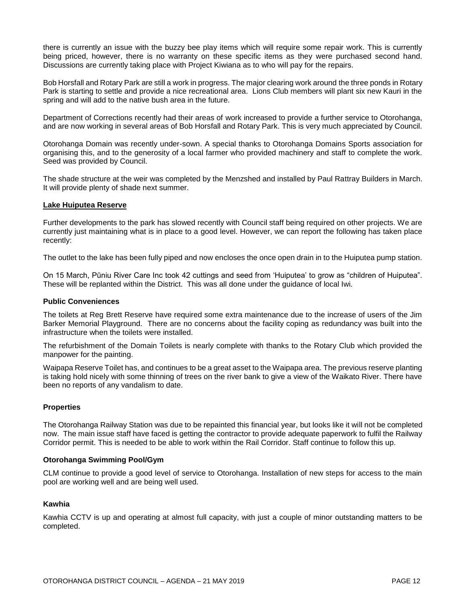there is currently an issue with the buzzy bee play items which will require some repair work. This is currently being priced, however, there is no warranty on these specific items as they were purchased second hand. Discussions are currently taking place with Project Kiwiana as to who will pay for the repairs.

Bob Horsfall and Rotary Park are still a work in progress. The major clearing work around the three ponds in Rotary Park is starting to settle and provide a nice recreational area. Lions Club members will plant six new Kauri in the spring and will add to the native bush area in the future.

Department of Corrections recently had their areas of work increased to provide a further service to Otorohanga, and are now working in several areas of Bob Horsfall and Rotary Park. This is very much appreciated by Council.

Otorohanga Domain was recently under-sown. A special thanks to Otorohanga Domains Sports association for organising this, and to the generosity of a local farmer who provided machinery and staff to complete the work. Seed was provided by Council.

The shade structure at the weir was completed by the Menzshed and installed by Paul Rattray Builders in March. It will provide plenty of shade next summer.

#### **Lake Huiputea Reserve**

Further developments to the park has slowed recently with Council staff being required on other projects. We are currently just maintaining what is in place to a good level. However, we can report the following has taken place recently:

The outlet to the lake has been fully piped and now encloses the once open drain in to the Huiputea pump station.

On 15 March, Pūniu River Care Inc took 42 cuttings and seed from 'Huiputea' to grow as "children of Huiputea". These will be replanted within the District. This was all done under the guidance of local Iwi.

#### **Public Conveniences**

The toilets at Reg Brett Reserve have required some extra maintenance due to the increase of users of the Jim Barker Memorial Playground. There are no concerns about the facility coping as redundancy was built into the infrastructure when the toilets were installed.

The refurbishment of the Domain Toilets is nearly complete with thanks to the Rotary Club which provided the manpower for the painting.

Waipapa Reserve Toilet has, and continues to be a great asset to the Waipapa area. The previous reserve planting is taking hold nicely with some thinning of trees on the river bank to give a view of the Waikato River. There have been no reports of any vandalism to date.

#### **Properties**

The Otorohanga Railway Station was due to be repainted this financial year, but looks like it will not be completed now. The main issue staff have faced is getting the contractor to provide adequate paperwork to fulfil the Railway Corridor permit. This is needed to be able to work within the Rail Corridor. Staff continue to follow this up.

#### **Otorohanga Swimming Pool/Gym**

CLM continue to provide a good level of service to Otorohanga. Installation of new steps for access to the main pool are working well and are being well used.

#### **Kawhia**

Kawhia CCTV is up and operating at almost full capacity, with just a couple of minor outstanding matters to be completed.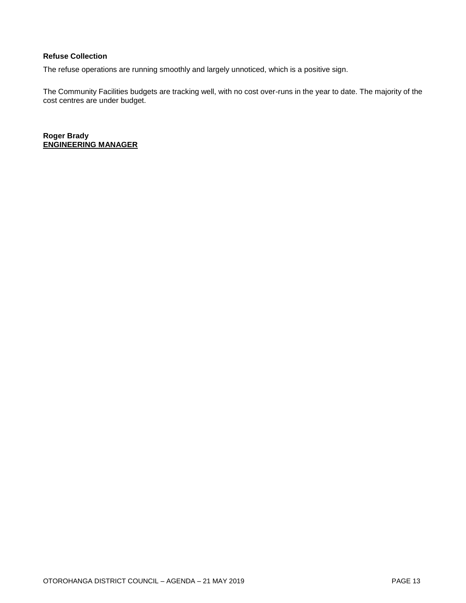#### **Refuse Collection**

The refuse operations are running smoothly and largely unnoticed, which is a positive sign.

The Community Facilities budgets are tracking well, with no cost over-runs in the year to date. The majority of the cost centres are under budget.

**Roger Brady ENGINEERING MANAGER**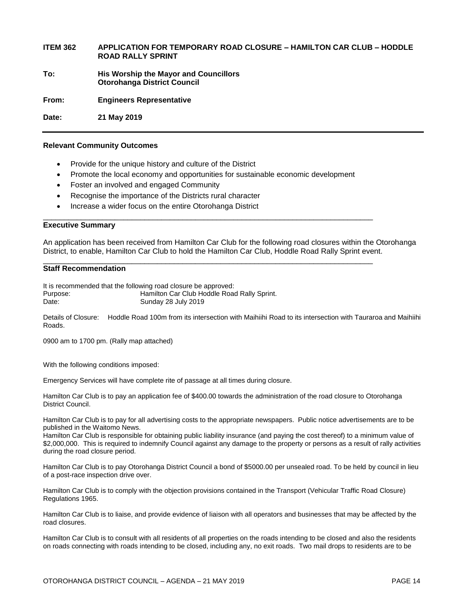#### **ITEM 362 APPLICATION FOR TEMPORARY ROAD CLOSURE – HAMILTON CAR CLUB – HODDLE ROAD RALLY SPRINT**

**To: His Worship the Mayor and Councillors Otorohanga District Council**

**From: Engineers Representative** 

**Date: 21 May 2019**

#### **Relevant Community Outcomes**

- Provide for the unique history and culture of the District
- Promote the local economy and opportunities for sustainable economic development

\_\_\_\_\_\_\_\_\_\_\_\_\_\_\_\_\_\_\_\_\_\_\_\_\_\_\_\_\_\_\_\_\_\_\_\_\_\_\_\_\_\_\_\_\_\_\_\_\_\_\_\_\_\_\_\_\_\_\_\_\_\_\_\_\_\_\_\_\_\_\_\_\_\_\_\_\_\_

\_\_\_\_\_\_\_\_\_\_\_\_\_\_\_\_\_\_\_\_\_\_\_\_\_\_\_\_\_\_\_\_\_\_\_\_\_\_\_\_\_\_\_\_\_\_\_\_\_\_\_\_\_\_\_\_\_\_\_\_\_\_\_\_\_\_\_\_\_\_\_\_\_\_\_\_\_\_

- Foster an involved and engaged Community
- Recognise the importance of the Districts rural character
- Increase a wider focus on the entire Otorohanga District

#### **Executive Summary**

An application has been received from Hamilton Car Club for the following road closures within the Otorohanga District, to enable, Hamilton Car Club to hold the Hamilton Car Club, Hoddle Road Rally Sprint event.

#### **Staff Recommendation**

It is recommended that the following road closure be approved: Purpose: Hamilton Car Club Hoddle Road Rally Sprint. Date: Sunday 28 July 2019

Details of Closure: Hoddle Road 100m from its intersection with Maihiihi Road to its intersection with Tauraroa and Maihiihi Roads.

0900 am to 1700 pm. (Rally map attached)

With the following conditions imposed:

Emergency Services will have complete rite of passage at all times during closure.

Hamilton Car Club is to pay an application fee of \$400.00 towards the administration of the road closure to Otorohanga District Council.

Hamilton Car Club is to pay for all advertising costs to the appropriate newspapers. Public notice advertisements are to be published in the Waitomo News.

Hamilton Car Club is responsible for obtaining public liability insurance (and paying the cost thereof) to a minimum value of \$2,000,000. This is required to indemnify Council against any damage to the property or persons as a result of rally activities during the road closure period.

Hamilton Car Club is to pay Otorohanga District Council a bond of \$5000.00 per unsealed road. To be held by council in lieu of a post-race inspection drive over.

Hamilton Car Club is to comply with the objection provisions contained in the Transport (Vehicular Traffic Road Closure) Regulations 1965.

Hamilton Car Club is to liaise, and provide evidence of liaison with all operators and businesses that may be affected by the road closures.

Hamilton Car Club is to consult with all residents of all properties on the roads intending to be closed and also the residents on roads connecting with roads intending to be closed, including any, no exit roads. Two mail drops to residents are to be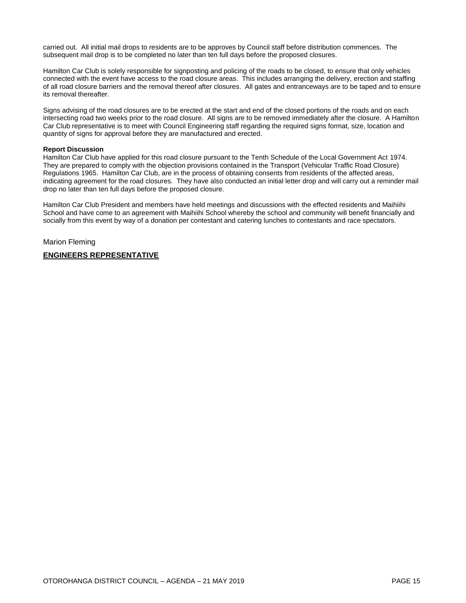carried out. All initial mail drops to residents are to be approves by Council staff before distribution commences. The subsequent mail drop is to be completed no later than ten full days before the proposed closures.

Hamilton Car Club is solely responsible for signposting and policing of the roads to be closed, to ensure that only vehicles connected with the event have access to the road closure areas. This includes arranging the delivery, erection and staffing of all road closure barriers and the removal thereof after closures. All gates and entranceways are to be taped and to ensure its removal thereafter.

Signs advising of the road closures are to be erected at the start and end of the closed portions of the roads and on each intersecting road two weeks prior to the road closure. All signs are to be removed immediately after the closure. A Hamilton Car Club representative is to meet with Council Engineering staff regarding the required signs format, size, location and quantity of signs for approval before they are manufactured and erected.

#### **Report Discussion**

Hamilton Car Club have applied for this road closure pursuant to the Tenth Schedule of the Local Government Act 1974. They are prepared to comply with the objection provisions contained in the Transport (Vehicular Traffic Road Closure) Regulations 1965. Hamilton Car Club, are in the process of obtaining consents from residents of the affected areas, indicating agreement for the road closures. They have also conducted an initial letter drop and will carry out a reminder mail drop no later than ten full days before the proposed closure.

Hamilton Car Club President and members have held meetings and discussions with the effected residents and Maihiihi School and have come to an agreement with Maihiihi School whereby the school and community will benefit financially and socially from this event by way of a donation per contestant and catering lunches to contestants and race spectators.

Marion Fleming

#### **ENGINEERS REPRESENTATIVE**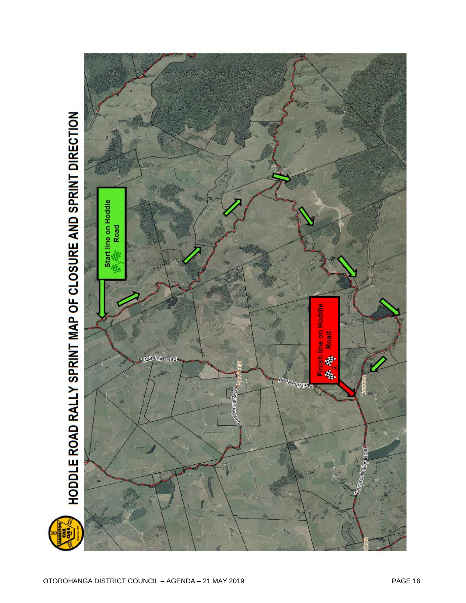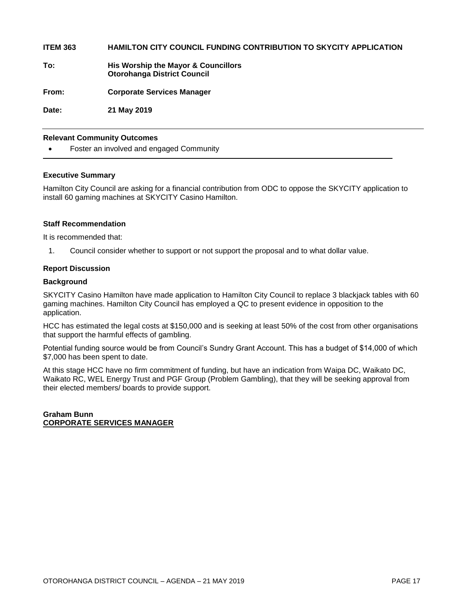**ITEM 363 HAMILTON CITY COUNCIL FUNDING CONTRIBUTION TO SKYCITY APPLICATION**

**To: His Worship the Mayor & Councillors Otorohanga District Council**

**From: Corporate Services Manager**

**Date: 21 May 2019**

#### **Relevant Community Outcomes**

Foster an involved and engaged Community

#### **Executive Summary**

Hamilton City Council are asking for a financial contribution from ODC to oppose the SKYCITY application to install 60 gaming machines at SKYCITY Casino Hamilton.

#### **Staff Recommendation**

It is recommended that:

1. Council consider whether to support or not support the proposal and to what dollar value.

#### **Report Discussion**

#### **Background**

SKYCITY Casino Hamilton have made application to Hamilton City Council to replace 3 blackjack tables with 60 gaming machines. Hamilton City Council has employed a QC to present evidence in opposition to the application.

HCC has estimated the legal costs at \$150,000 and is seeking at least 50% of the cost from other organisations that support the harmful effects of gambling.

Potential funding source would be from Council's Sundry Grant Account. This has a budget of \$14,000 of which \$7,000 has been spent to date.

At this stage HCC have no firm commitment of funding, but have an indication from Waipa DC, Waikato DC, Waikato RC, WEL Energy Trust and PGF Group (Problem Gambling), that they will be seeking approval from their elected members/ boards to provide support.

**Graham Bunn CORPORATE SERVICES MANAGER**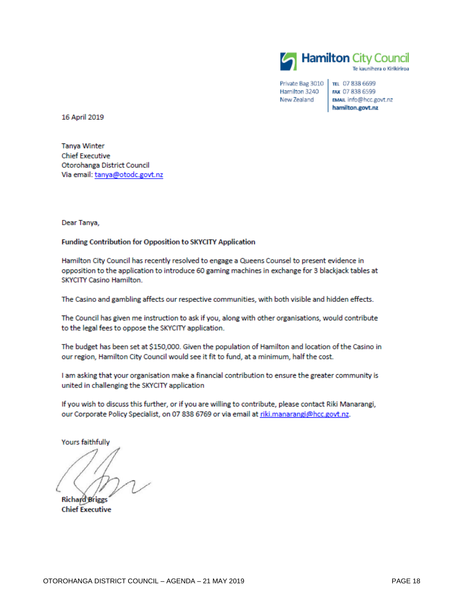

Private Bag 3010 Hamilton 3240 New Zealand

TEL 07 838 6699 FAX 07 838 6599 EMAIL info@hcc.govt.nz hamilton.govt.nz

16 April 2019

**Tanya Winter Chief Executive** Otorohanga District Council Via email: tanya@otodc.govt.nz

Dear Tanya,

**Funding Contribution for Opposition to SKYCITY Application** 

Hamilton City Council has recently resolved to engage a Queens Counsel to present evidence in opposition to the application to introduce 60 gaming machines in exchange for 3 blackjack tables at SKYCITY Casino Hamilton.

The Casino and gambling affects our respective communities, with both visible and hidden effects.

The Council has given me instruction to ask if you, along with other organisations, would contribute to the legal fees to oppose the SKYCITY application.

The budget has been set at \$150,000. Given the population of Hamilton and location of the Casino in our region, Hamilton City Council would see it fit to fund, at a minimum, half the cost.

I am asking that your organisation make a financial contribution to ensure the greater community is united in challenging the SKYCITY application

If you wish to discuss this further, or if you are willing to contribute, please contact Riki Manarangi, our Corporate Policy Specialist, on 07 838 6769 or via email at riki.manarangi@hcc.govt.nz.

Yours faithfully

**Richard Briggs Chief Executive**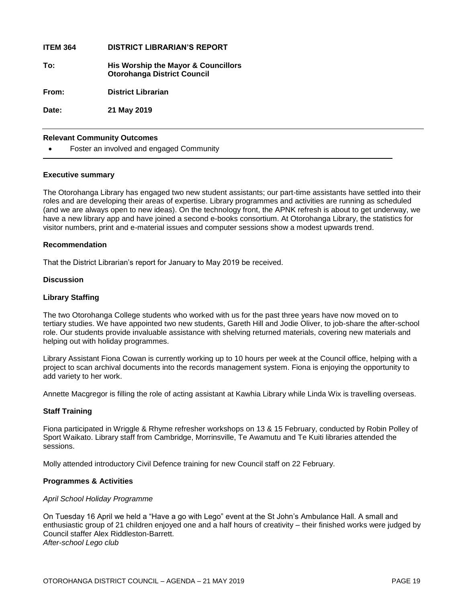**ITEM 364 DISTRICT LIBRARIAN'S REPORT To: His Worship the Mayor & Councillors Otorohanga District Council From: District Librarian Date: 21 May 2019**

#### **Relevant Community Outcomes**

Foster an involved and engaged Community

#### **Executive summary**

The Otorohanga Library has engaged two new student assistants; our part-time assistants have settled into their roles and are developing their areas of expertise. Library programmes and activities are running as scheduled (and we are always open to new ideas). On the technology front, the APNK refresh is about to get underway, we have a new library app and have joined a second e-books consortium. At Otorohanga Library, the statistics for visitor numbers, print and e-material issues and computer sessions show a modest upwards trend.

#### **Recommendation**

That the District Librarian's report for January to May 2019 be received.

#### **Discussion**

#### **Library Staffing**

The two Otorohanga College students who worked with us for the past three years have now moved on to tertiary studies. We have appointed two new students, Gareth Hill and Jodie Oliver, to job-share the after-school role. Our students provide invaluable assistance with shelving returned materials, covering new materials and helping out with holiday programmes.

Library Assistant Fiona Cowan is currently working up to 10 hours per week at the Council office, helping with a project to scan archival documents into the records management system. Fiona is enjoying the opportunity to add variety to her work.

Annette Macgregor is filling the role of acting assistant at Kawhia Library while Linda Wix is travelling overseas.

#### **Staff Training**

Fiona participated in Wriggle & Rhyme refresher workshops on 13 & 15 February, conducted by Robin Polley of Sport Waikato. Library staff from Cambridge, Morrinsville, Te Awamutu and Te Kuiti libraries attended the sessions.

Molly attended introductory Civil Defence training for new Council staff on 22 February.

#### **Programmes & Activities**

#### *April School Holiday Programme*

On Tuesday 16 April we held a "Have a go with Lego" event at the St John's Ambulance Hall. A small and enthusiastic group of 21 children enjoyed one and a half hours of creativity – their finished works were judged by Council staffer Alex Riddleston-Barrett. *After-school Lego club*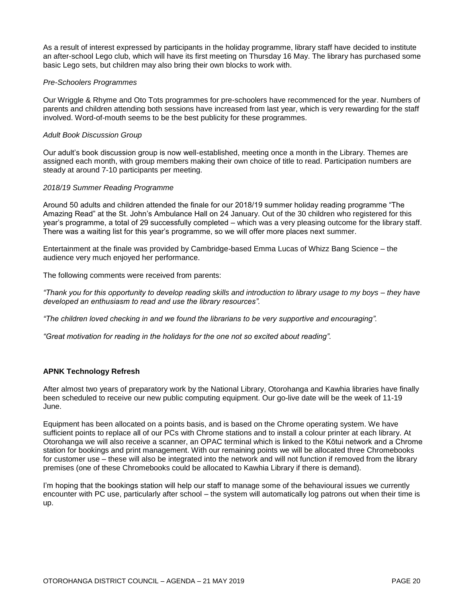As a result of interest expressed by participants in the holiday programme, library staff have decided to institute an after-school Lego club, which will have its first meeting on Thursday 16 May. The library has purchased some basic Lego sets, but children may also bring their own blocks to work with.

#### *Pre-Schoolers Programmes*

Our Wriggle & Rhyme and Oto Tots programmes for pre-schoolers have recommenced for the year. Numbers of parents and children attending both sessions have increased from last year, which is very rewarding for the staff involved. Word-of-mouth seems to be the best publicity for these programmes.

#### *Adult Book Discussion Group*

Our adult's book discussion group is now well-established, meeting once a month in the Library. Themes are assigned each month, with group members making their own choice of title to read. Participation numbers are steady at around 7-10 participants per meeting.

#### *2018/19 Summer Reading Programme*

Around 50 adults and children attended the finale for our 2018/19 summer holiday reading programme "The Amazing Read" at the St. John's Ambulance Hall on 24 January. Out of the 30 children who registered for this year's programme, a total of 29 successfully completed – which was a very pleasing outcome for the library staff. There was a waiting list for this year's programme, so we will offer more places next summer.

Entertainment at the finale was provided by Cambridge-based Emma Lucas of Whizz Bang Science – the audience very much enjoyed her performance.

The following comments were received from parents:

*"Thank you for this opportunity to develop reading skills and introduction to library usage to my boys – they have developed an enthusiasm to read and use the library resources".*

*"The children loved checking in and we found the librarians to be very supportive and encouraging".*

*"Great motivation for reading in the holidays for the one not so excited about reading".*

#### **APNK Technology Refresh**

After almost two years of preparatory work by the National Library, Otorohanga and Kawhia libraries have finally been scheduled to receive our new public computing equipment. Our go-live date will be the week of 11-19 June.

Equipment has been allocated on a points basis, and is based on the Chrome operating system. We have sufficient points to replace all of our PCs with Chrome stations and to install a colour printer at each library. At Otorohanga we will also receive a scanner, an OPAC terminal which is linked to the Kōtui network and a Chrome station for bookings and print management. With our remaining points we will be allocated three Chromebooks for customer use – these will also be integrated into the network and will not function if removed from the library premises (one of these Chromebooks could be allocated to Kawhia Library if there is demand).

I'm hoping that the bookings station will help our staff to manage some of the behavioural issues we currently encounter with PC use, particularly after school – the system will automatically log patrons out when their time is up.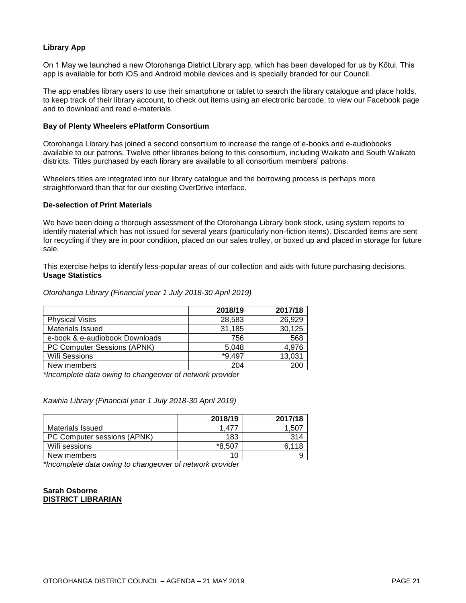#### **Library App**

On 1 May we launched a new Otorohanga District Library app, which has been developed for us by Kōtui. This app is available for both iOS and Android mobile devices and is specially branded for our Council.

The app enables library users to use their smartphone or tablet to search the library catalogue and place holds, to keep track of their library account, to check out items using an electronic barcode, to view our Facebook page and to download and read e-materials.

#### **Bay of Plenty Wheelers ePlatform Consortium**

Otorohanga Library has joined a second consortium to increase the range of e-books and e-audiobooks available to our patrons. Twelve other libraries belong to this consortium, including Waikato and South Waikato districts. Titles purchased by each library are available to all consortium members' patrons.

Wheelers titles are integrated into our library catalogue and the borrowing process is perhaps more straightforward than that for our existing OverDrive interface.

#### **De-selection of Print Materials**

We have been doing a thorough assessment of the Otorohanga Library book stock, using system reports to identify material which has not issued for several years (particularly non-fiction items). Discarded items are sent for recycling if they are in poor condition, placed on our sales trolley, or boxed up and placed in storage for future sale.

This exercise helps to identify less-popular areas of our collection and aids with future purchasing decisions. **Usage Statistics** 

#### *Otorohanga Library (Financial year 1 July 2018-30 April 2019)*

|                                | 2018/19  | 2017/18 |
|--------------------------------|----------|---------|
| <b>Physical Visits</b>         | 28,583   | 26,929  |
| Materials Issued               | 31,185   | 30,125  |
| e-book & e-audiobook Downloads | 756      | 568     |
| PC Computer Sessions (APNK)    | 5.048    | 4.976   |
| <b>Wifi Sessions</b>           | $*9.497$ | 13,031  |
| New members                    | 204      | 200     |

*\*Incomplete data owing to changeover of network provider*

*Kawhia Library (Financial year 1 July 2018-30 April 2019)*

|                             | 2018/19 | 2017/18 |
|-----------------------------|---------|---------|
| Materials Issued            | 1.47    | .50     |
| PC Computer sessions (APNK) | 183     | 314     |
| Wifi sessions               | *8.507  | 6.118   |
| New members                 | 10      |         |

*\*Incomplete data owing to changeover of network provider*

#### **Sarah Osborne DISTRICT LIBRARIAN**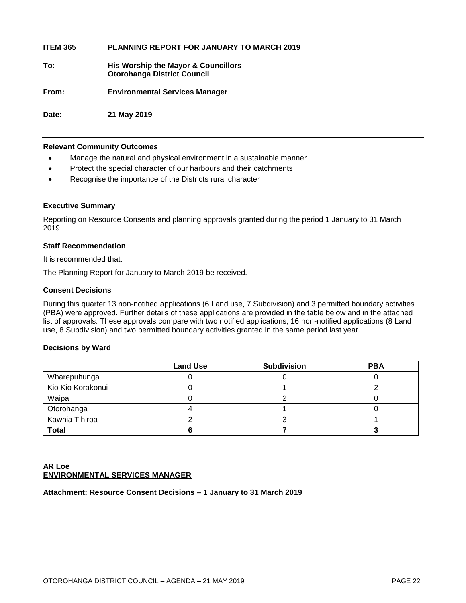**ITEM 365 PLANNING REPORT FOR JANUARY TO MARCH 2019**

**To: His Worship the Mayor & Councillors Otorohanga District Council**

**From: Environmental Services Manager**

**Date: 21 May 2019**

#### **Relevant Community Outcomes**

- Manage the natural and physical environment in a sustainable manner
- Protect the special character of our harbours and their catchments
- Recognise the importance of the Districts rural character

#### **Executive Summary**

Reporting on Resource Consents and planning approvals granted during the period 1 January to 31 March 2019.

#### **Staff Recommendation**

It is recommended that:

The Planning Report for January to March 2019 be received.

#### **Consent Decisions**

During this quarter 13 non-notified applications (6 Land use, 7 Subdivision) and 3 permitted boundary activities (PBA) were approved. Further details of these applications are provided in the table below and in the attached list of approvals. These approvals compare with two notified applications, 16 non-notified applications (8 Land use, 8 Subdivision) and two permitted boundary activities granted in the same period last year.

#### **Decisions by Ward**

|                   | <b>Land Use</b> | <b>Subdivision</b> | <b>PBA</b> |
|-------------------|-----------------|--------------------|------------|
| Wharepuhunga      |                 |                    |            |
| Kio Kio Korakonui |                 |                    |            |
| Waipa             |                 |                    |            |
| Otorohanga        |                 |                    |            |
| Kawhia Tihiroa    |                 |                    |            |
| <b>Total</b>      |                 |                    |            |

#### **AR Loe ENVIRONMENTAL SERVICES MANAGER**

**Attachment: Resource Consent Decisions – 1 January to 31 March 2019**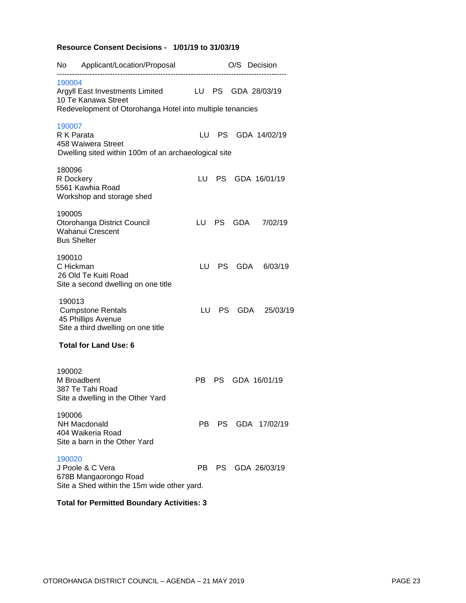#### **Resource Consent Decisions - 1/01/19 to 31/03/19**

| No.    | Applicant/Location/Proposal                                                                                         |      |           | O/S Decision |                 |
|--------|---------------------------------------------------------------------------------------------------------------------|------|-----------|--------------|-----------------|
| 190004 | Argyll East Investments Limited<br>10 Te Kanawa Street<br>Redevelopment of Otorohanga Hotel into multiple tenancies | LU   | <b>PS</b> |              | GDA 28/03/19    |
| 190007 | R K Parata<br>458 Waiwera Street<br>Dwelling sited within 100m of an archaeological site                            | LU.  | <b>PS</b> |              | GDA 14/02/19    |
| 180096 | R Dockery<br>5561 Kawhia Road<br>Workshop and storage shed                                                          | LU.  | PS.       |              | GDA 16/01/19    |
| 190005 | Otorohanga District Council<br><b>Wahanui Crescent</b><br><b>Bus Shelter</b>                                        |      | LU PS     | GDA          | 7/02/19         |
| 190010 | C Hickman<br>26 Old Te Kuiti Road<br>Site a second dwelling on one title                                            | LU – |           | PS GDA       | 6/03/19         |
| 190013 | <b>Cumpstone Rentals</b><br>45 Phillips Avenue<br>Site a third dwelling on one title                                | LU   |           | PS GDA       | 25/03/19        |
|        | <b>Total for Land Use: 6</b>                                                                                        |      |           |              |                 |
| 190002 | M Broadbent<br>387 Te Tahi Road<br>Site a dwelling in the Other Yard                                                | PB.  | PS.       |              | GDA 16/01/19    |
| 190006 | NH Macdonald<br>404 Waikeria Road<br>Site a barn in the Other Yard                                                  | PB   |           |              | PS GDA 17/02/19 |
| 190020 | J Poole & C Vera<br>678B Mangaorongo Road<br>Site a Shed within the 15m wide other yard.                            | PB.  |           |              | PS GDA 26/03/19 |
|        | Total for Dermitted Deundary Activities: 2                                                                          |      |           |              |                 |

#### **Total for Permitted Boundary Activities: 3**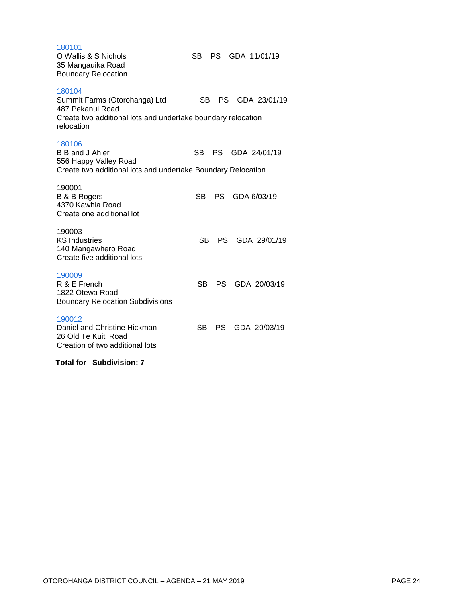[180101](http://ncs-unix.otodc.govt.nz/cgi-bin/rg6/rg6ep?180101)  O Wallis & S Nichols SB PS GDA 11/01/19 35 Mangauika Road Boundary Relocation [180104](http://ncs-unix.otodc.govt.nz/cgi-bin/rg6/rg6ep?180104)  Summit Farms (Otorohanga) Ltd SB PS GDA 23/01/19 487 Pekanui Road Create two additional lots and undertake boundary relocation relocation 180106<br>B B and J Ahler SB PS GDA 24/01/19 556 Happy Valley Road Create two additional lots and undertake Boundary Relocation 190001 B & B Rogers SB PS GDA 6/03/19 4370 Kawhia Road Create one additional lot 190003 KS Industries SB PS GDA 29/01/19 140 Mangawhero Road Create five additional lots [190009](http://ncs-unix.otodc.govt.nz/cgi-bin/rg6/rg6ep?190009)  R & E French SB PS GDA 20/03/19 1822 Otewa Road Boundary Relocation Subdivisions [190012](http://ncs-unix.otodc.govt.nz/cgi-bin/rg6/rg6ep?190012)  Daniel and Christine Hickman SB PS GDA 20/03/19 26 Old Te Kuiti Road Creation of two additional lots  **Total for Subdivision: 7**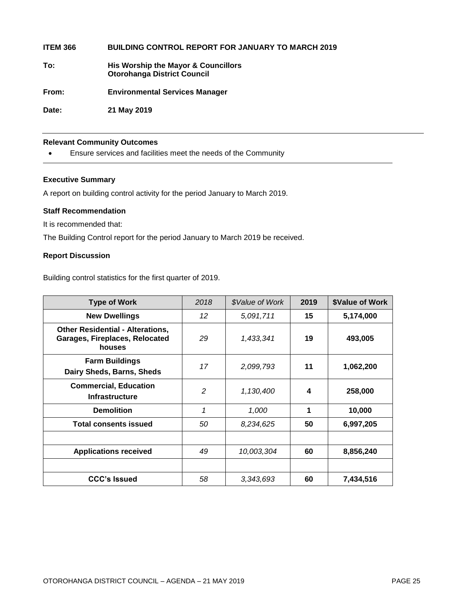**ITEM 366 BUILDING CONTROL REPORT FOR JANUARY TO MARCH 2019**

**To: His Worship the Mayor & Councillors Otorohanga District Council**

**From: Environmental Services Manager**

**Date: 21 May 2019**

#### **Relevant Community Outcomes**

Ensure services and facilities meet the needs of the Community

#### **Executive Summary**

A report on building control activity for the period January to March 2019.

#### **Staff Recommendation**

It is recommended that:

The Building Control report for the period January to March 2019 be received.

#### **Report Discussion**

Building control statistics for the first quarter of 2019.

| <b>Type of Work</b>                                                                 | 2018 | \$Value of Work | 2019 | <b>\$Value of Work</b> |
|-------------------------------------------------------------------------------------|------|-----------------|------|------------------------|
| <b>New Dwellings</b>                                                                | 12   | 5,091,711       | 15   | 5,174,000              |
| <b>Other Residential - Alterations,</b><br>Garages, Fireplaces, Relocated<br>houses | 29   | 1,433,341       | 19   | 493,005                |
| <b>Farm Buildings</b><br>Dairy Sheds, Barns, Sheds                                  | 17   | 2,099,793       | 11   | 1,062,200              |
| <b>Commercial, Education</b><br><b>Infrastructure</b>                               | 2    | 1,130,400       | 4    | 258,000                |
| <b>Demolition</b>                                                                   | 1    | 1,000           | 1    | 10,000                 |
| <b>Total consents issued</b>                                                        | 50   | 8,234,625       | 50   | 6,997,205              |
|                                                                                     |      |                 |      |                        |
| <b>Applications received</b>                                                        | 49   | 10,003,304      | 60   | 8,856,240              |
|                                                                                     |      |                 |      |                        |
| <b>CCC's Issued</b>                                                                 | 58   | 3,343,693       | 60   | 7,434,516              |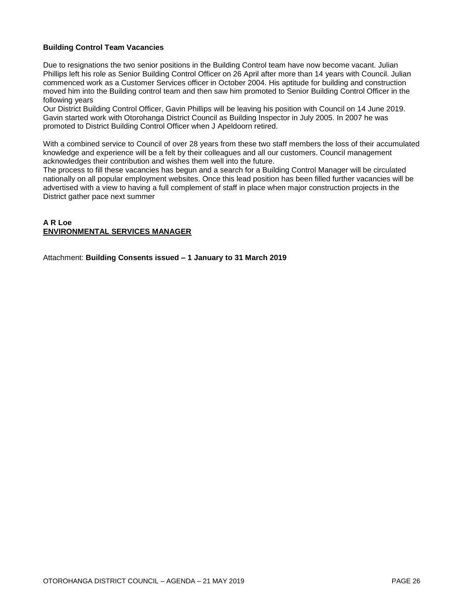#### **Building Control Team Vacancies**

Due to resignations the two senior positions in the Building Control team have now become vacant. Julian Phillips left his role as Senior Building Control Officer on 26 April after more than 14 years with Council. Julian commenced work as a Customer Services officer in October 2004. His aptitude for building and construction moved him into the Building control team and then saw him promoted to Senior Building Control Officer in the following years

Our District Building Control Officer, Gavin Phillips will be leaving his position with Council on 14 June 2019. Gavin started work with Otorohanga District Council as Building Inspector in July 2005. In 2007 he was promoted to District Building Control Officer when J Apeldoorn retired.

With a combined service to Council of over 28 years from these two staff members the loss of their accumulated knowledge and experience will be a felt by their colleagues and all our customers. Council management acknowledges their contribution and wishes them well into the future.

The process to fill these vacancies has begun and a search for a Building Control Manager will be circulated nationally on all popular employment websites. Once this lead position has been filled further vacancies will be advertised with a view to having a full complement of staff in place when major construction projects in the District gather pace next summer

#### **A R Loe ENVIRONMENTAL SERVICES MANAGER**

Attachment: **Building Consents issued – 1 January to 31 March 2019**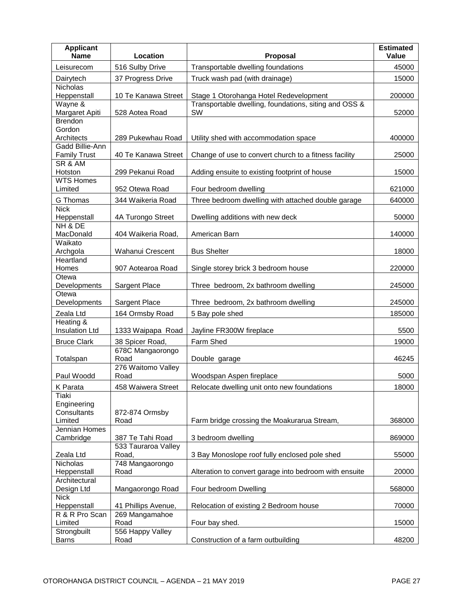| 516 Sulby Drive<br>Transportable dwelling foundations<br>45000<br>Leisurecom<br>37 Progress Drive<br>Dairytech<br>Truck wash pad (with drainage)<br>15000<br><b>Nicholas</b><br>10 Te Kanawa Street<br>Stage 1 Otorohanga Hotel Redevelopment<br>200000<br>Heppenstall<br>Transportable dwelling, foundations, siting and OSS &<br>Wayne &<br>Margaret Apiti<br>SW<br>528 Aotea Road<br>52000<br><b>Brendon</b><br>Gordon<br>Architects<br>Utility shed with accommodation space<br>400000<br>289 Pukewhau Road<br>Gadd Billie-Ann<br><b>Family Trust</b><br>40 Te Kanawa Street<br>Change of use to convert church to a fitness facility<br>25000<br>SR & AM<br>Hotston<br>299 Pekanui Road<br>Adding ensuite to existing footprint of house<br>15000<br><b>WTS Homes</b><br>Limited<br>952 Otewa Road<br>Four bedroom dwelling<br>621000<br>Three bedroom dwelling with attached double garage<br>640000<br>G Thomas<br>344 Waikeria Road<br><b>Nick</b><br>4A Turongo Street<br>Dwelling additions with new deck<br>50000<br>Heppenstall<br>NH & DE<br>MacDonald<br>404 Waikeria Road,<br>American Barn<br>140000<br>Waikato<br>Wahanui Crescent<br><b>Bus Shelter</b><br>18000<br>Archgola<br>Heartland<br>Homes<br>907 Aotearoa Road<br>Single storey brick 3 bedroom house<br>220000<br>Otewa<br>Developments<br>Sargent Place<br>Three bedroom, 2x bathroom dwelling<br>245000<br>Otewa<br>Developments<br>Sargent Place<br>Three bedroom, 2x bathroom dwelling<br>245000<br>164 Ormsby Road<br>185000<br>Zeala Ltd<br>5 Bay pole shed<br>Heating &<br><b>Insulation Ltd</b><br>1333 Waipapa Road<br>Jayline FR300W fireplace<br>5500<br>Farm Shed<br><b>Bruce Clark</b><br>19000<br>38 Spicer Road,<br>678C Mangaorongo<br>Road<br>46245<br>Totalspan<br>Double garage<br>276 Waitomo Valley<br>Paul Woodd<br>Road<br>5000<br>Woodspan Aspen fireplace<br>Relocate dwelling unit onto new foundations<br>18000<br>K Parata<br>458 Waiwera Street<br>Tiaki<br>Engineering<br>Consultants<br>872-874 Ormsby<br>Limited<br>Farm bridge crossing the Moakurarua Stream,<br>Road<br>368000<br>Jennian Homes<br>Cambridge<br>387 Te Tahi Road<br>3 bedroom dwelling<br>869000<br>533 Tauraroa Valley<br>Road,<br>3 Bay Monoslope roof fully enclosed pole shed<br>Zeala Ltd<br>55000<br>Nicholas<br>748 Mangaorongo<br>Alteration to convert garage into bedroom with ensuite<br>Heppenstall<br>Road<br>20000<br>Architectural<br>Design Ltd<br>Mangaorongo Road<br>Four bedroom Dwelling<br>568000<br><b>Nick</b><br>70000<br>Heppenstall<br>41 Phillips Avenue,<br>Relocation of existing 2 Bedroom house<br>R & R Pro Scan<br>269 Mangamahoe<br>Limited<br>Road<br>Four bay shed.<br>15000<br>556 Happy Valley<br>Strongbuilt<br>Construction of a farm outbuilding<br>48200<br><b>Barns</b><br>Road | <b>Applicant</b><br><b>Name</b> | Location | Proposal | <b>Estimated</b><br><b>Value</b> |
|-----------------------------------------------------------------------------------------------------------------------------------------------------------------------------------------------------------------------------------------------------------------------------------------------------------------------------------------------------------------------------------------------------------------------------------------------------------------------------------------------------------------------------------------------------------------------------------------------------------------------------------------------------------------------------------------------------------------------------------------------------------------------------------------------------------------------------------------------------------------------------------------------------------------------------------------------------------------------------------------------------------------------------------------------------------------------------------------------------------------------------------------------------------------------------------------------------------------------------------------------------------------------------------------------------------------------------------------------------------------------------------------------------------------------------------------------------------------------------------------------------------------------------------------------------------------------------------------------------------------------------------------------------------------------------------------------------------------------------------------------------------------------------------------------------------------------------------------------------------------------------------------------------------------------------------------------------------------------------------------------------------------------------------------------------------------------------------------------------------------------------------------------------------------------------------------------------------------------------------------------------------------------------------------------------------------------------------------------------------------------------------------------------------------------------------------------------------------------------------------------------------------------------------------------------------------------------------------------------------------------------------------------------------------------------------------------------------------------------------------------------------------------------------------------------------|---------------------------------|----------|----------|----------------------------------|
|                                                                                                                                                                                                                                                                                                                                                                                                                                                                                                                                                                                                                                                                                                                                                                                                                                                                                                                                                                                                                                                                                                                                                                                                                                                                                                                                                                                                                                                                                                                                                                                                                                                                                                                                                                                                                                                                                                                                                                                                                                                                                                                                                                                                                                                                                                                                                                                                                                                                                                                                                                                                                                                                                                                                                                                                           |                                 |          |          |                                  |
|                                                                                                                                                                                                                                                                                                                                                                                                                                                                                                                                                                                                                                                                                                                                                                                                                                                                                                                                                                                                                                                                                                                                                                                                                                                                                                                                                                                                                                                                                                                                                                                                                                                                                                                                                                                                                                                                                                                                                                                                                                                                                                                                                                                                                                                                                                                                                                                                                                                                                                                                                                                                                                                                                                                                                                                                           |                                 |          |          |                                  |
|                                                                                                                                                                                                                                                                                                                                                                                                                                                                                                                                                                                                                                                                                                                                                                                                                                                                                                                                                                                                                                                                                                                                                                                                                                                                                                                                                                                                                                                                                                                                                                                                                                                                                                                                                                                                                                                                                                                                                                                                                                                                                                                                                                                                                                                                                                                                                                                                                                                                                                                                                                                                                                                                                                                                                                                                           |                                 |          |          |                                  |
|                                                                                                                                                                                                                                                                                                                                                                                                                                                                                                                                                                                                                                                                                                                                                                                                                                                                                                                                                                                                                                                                                                                                                                                                                                                                                                                                                                                                                                                                                                                                                                                                                                                                                                                                                                                                                                                                                                                                                                                                                                                                                                                                                                                                                                                                                                                                                                                                                                                                                                                                                                                                                                                                                                                                                                                                           |                                 |          |          |                                  |
|                                                                                                                                                                                                                                                                                                                                                                                                                                                                                                                                                                                                                                                                                                                                                                                                                                                                                                                                                                                                                                                                                                                                                                                                                                                                                                                                                                                                                                                                                                                                                                                                                                                                                                                                                                                                                                                                                                                                                                                                                                                                                                                                                                                                                                                                                                                                                                                                                                                                                                                                                                                                                                                                                                                                                                                                           |                                 |          |          |                                  |
|                                                                                                                                                                                                                                                                                                                                                                                                                                                                                                                                                                                                                                                                                                                                                                                                                                                                                                                                                                                                                                                                                                                                                                                                                                                                                                                                                                                                                                                                                                                                                                                                                                                                                                                                                                                                                                                                                                                                                                                                                                                                                                                                                                                                                                                                                                                                                                                                                                                                                                                                                                                                                                                                                                                                                                                                           |                                 |          |          |                                  |
|                                                                                                                                                                                                                                                                                                                                                                                                                                                                                                                                                                                                                                                                                                                                                                                                                                                                                                                                                                                                                                                                                                                                                                                                                                                                                                                                                                                                                                                                                                                                                                                                                                                                                                                                                                                                                                                                                                                                                                                                                                                                                                                                                                                                                                                                                                                                                                                                                                                                                                                                                                                                                                                                                                                                                                                                           |                                 |          |          |                                  |
|                                                                                                                                                                                                                                                                                                                                                                                                                                                                                                                                                                                                                                                                                                                                                                                                                                                                                                                                                                                                                                                                                                                                                                                                                                                                                                                                                                                                                                                                                                                                                                                                                                                                                                                                                                                                                                                                                                                                                                                                                                                                                                                                                                                                                                                                                                                                                                                                                                                                                                                                                                                                                                                                                                                                                                                                           |                                 |          |          |                                  |
|                                                                                                                                                                                                                                                                                                                                                                                                                                                                                                                                                                                                                                                                                                                                                                                                                                                                                                                                                                                                                                                                                                                                                                                                                                                                                                                                                                                                                                                                                                                                                                                                                                                                                                                                                                                                                                                                                                                                                                                                                                                                                                                                                                                                                                                                                                                                                                                                                                                                                                                                                                                                                                                                                                                                                                                                           |                                 |          |          |                                  |
|                                                                                                                                                                                                                                                                                                                                                                                                                                                                                                                                                                                                                                                                                                                                                                                                                                                                                                                                                                                                                                                                                                                                                                                                                                                                                                                                                                                                                                                                                                                                                                                                                                                                                                                                                                                                                                                                                                                                                                                                                                                                                                                                                                                                                                                                                                                                                                                                                                                                                                                                                                                                                                                                                                                                                                                                           |                                 |          |          |                                  |
|                                                                                                                                                                                                                                                                                                                                                                                                                                                                                                                                                                                                                                                                                                                                                                                                                                                                                                                                                                                                                                                                                                                                                                                                                                                                                                                                                                                                                                                                                                                                                                                                                                                                                                                                                                                                                                                                                                                                                                                                                                                                                                                                                                                                                                                                                                                                                                                                                                                                                                                                                                                                                                                                                                                                                                                                           |                                 |          |          |                                  |
|                                                                                                                                                                                                                                                                                                                                                                                                                                                                                                                                                                                                                                                                                                                                                                                                                                                                                                                                                                                                                                                                                                                                                                                                                                                                                                                                                                                                                                                                                                                                                                                                                                                                                                                                                                                                                                                                                                                                                                                                                                                                                                                                                                                                                                                                                                                                                                                                                                                                                                                                                                                                                                                                                                                                                                                                           |                                 |          |          |                                  |
|                                                                                                                                                                                                                                                                                                                                                                                                                                                                                                                                                                                                                                                                                                                                                                                                                                                                                                                                                                                                                                                                                                                                                                                                                                                                                                                                                                                                                                                                                                                                                                                                                                                                                                                                                                                                                                                                                                                                                                                                                                                                                                                                                                                                                                                                                                                                                                                                                                                                                                                                                                                                                                                                                                                                                                                                           |                                 |          |          |                                  |
|                                                                                                                                                                                                                                                                                                                                                                                                                                                                                                                                                                                                                                                                                                                                                                                                                                                                                                                                                                                                                                                                                                                                                                                                                                                                                                                                                                                                                                                                                                                                                                                                                                                                                                                                                                                                                                                                                                                                                                                                                                                                                                                                                                                                                                                                                                                                                                                                                                                                                                                                                                                                                                                                                                                                                                                                           |                                 |          |          |                                  |
|                                                                                                                                                                                                                                                                                                                                                                                                                                                                                                                                                                                                                                                                                                                                                                                                                                                                                                                                                                                                                                                                                                                                                                                                                                                                                                                                                                                                                                                                                                                                                                                                                                                                                                                                                                                                                                                                                                                                                                                                                                                                                                                                                                                                                                                                                                                                                                                                                                                                                                                                                                                                                                                                                                                                                                                                           |                                 |          |          |                                  |
|                                                                                                                                                                                                                                                                                                                                                                                                                                                                                                                                                                                                                                                                                                                                                                                                                                                                                                                                                                                                                                                                                                                                                                                                                                                                                                                                                                                                                                                                                                                                                                                                                                                                                                                                                                                                                                                                                                                                                                                                                                                                                                                                                                                                                                                                                                                                                                                                                                                                                                                                                                                                                                                                                                                                                                                                           |                                 |          |          |                                  |
|                                                                                                                                                                                                                                                                                                                                                                                                                                                                                                                                                                                                                                                                                                                                                                                                                                                                                                                                                                                                                                                                                                                                                                                                                                                                                                                                                                                                                                                                                                                                                                                                                                                                                                                                                                                                                                                                                                                                                                                                                                                                                                                                                                                                                                                                                                                                                                                                                                                                                                                                                                                                                                                                                                                                                                                                           |                                 |          |          |                                  |
|                                                                                                                                                                                                                                                                                                                                                                                                                                                                                                                                                                                                                                                                                                                                                                                                                                                                                                                                                                                                                                                                                                                                                                                                                                                                                                                                                                                                                                                                                                                                                                                                                                                                                                                                                                                                                                                                                                                                                                                                                                                                                                                                                                                                                                                                                                                                                                                                                                                                                                                                                                                                                                                                                                                                                                                                           |                                 |          |          |                                  |
|                                                                                                                                                                                                                                                                                                                                                                                                                                                                                                                                                                                                                                                                                                                                                                                                                                                                                                                                                                                                                                                                                                                                                                                                                                                                                                                                                                                                                                                                                                                                                                                                                                                                                                                                                                                                                                                                                                                                                                                                                                                                                                                                                                                                                                                                                                                                                                                                                                                                                                                                                                                                                                                                                                                                                                                                           |                                 |          |          |                                  |
|                                                                                                                                                                                                                                                                                                                                                                                                                                                                                                                                                                                                                                                                                                                                                                                                                                                                                                                                                                                                                                                                                                                                                                                                                                                                                                                                                                                                                                                                                                                                                                                                                                                                                                                                                                                                                                                                                                                                                                                                                                                                                                                                                                                                                                                                                                                                                                                                                                                                                                                                                                                                                                                                                                                                                                                                           |                                 |          |          |                                  |
|                                                                                                                                                                                                                                                                                                                                                                                                                                                                                                                                                                                                                                                                                                                                                                                                                                                                                                                                                                                                                                                                                                                                                                                                                                                                                                                                                                                                                                                                                                                                                                                                                                                                                                                                                                                                                                                                                                                                                                                                                                                                                                                                                                                                                                                                                                                                                                                                                                                                                                                                                                                                                                                                                                                                                                                                           |                                 |          |          |                                  |
|                                                                                                                                                                                                                                                                                                                                                                                                                                                                                                                                                                                                                                                                                                                                                                                                                                                                                                                                                                                                                                                                                                                                                                                                                                                                                                                                                                                                                                                                                                                                                                                                                                                                                                                                                                                                                                                                                                                                                                                                                                                                                                                                                                                                                                                                                                                                                                                                                                                                                                                                                                                                                                                                                                                                                                                                           |                                 |          |          |                                  |
|                                                                                                                                                                                                                                                                                                                                                                                                                                                                                                                                                                                                                                                                                                                                                                                                                                                                                                                                                                                                                                                                                                                                                                                                                                                                                                                                                                                                                                                                                                                                                                                                                                                                                                                                                                                                                                                                                                                                                                                                                                                                                                                                                                                                                                                                                                                                                                                                                                                                                                                                                                                                                                                                                                                                                                                                           |                                 |          |          |                                  |
|                                                                                                                                                                                                                                                                                                                                                                                                                                                                                                                                                                                                                                                                                                                                                                                                                                                                                                                                                                                                                                                                                                                                                                                                                                                                                                                                                                                                                                                                                                                                                                                                                                                                                                                                                                                                                                                                                                                                                                                                                                                                                                                                                                                                                                                                                                                                                                                                                                                                                                                                                                                                                                                                                                                                                                                                           |                                 |          |          |                                  |
|                                                                                                                                                                                                                                                                                                                                                                                                                                                                                                                                                                                                                                                                                                                                                                                                                                                                                                                                                                                                                                                                                                                                                                                                                                                                                                                                                                                                                                                                                                                                                                                                                                                                                                                                                                                                                                                                                                                                                                                                                                                                                                                                                                                                                                                                                                                                                                                                                                                                                                                                                                                                                                                                                                                                                                                                           |                                 |          |          |                                  |
|                                                                                                                                                                                                                                                                                                                                                                                                                                                                                                                                                                                                                                                                                                                                                                                                                                                                                                                                                                                                                                                                                                                                                                                                                                                                                                                                                                                                                                                                                                                                                                                                                                                                                                                                                                                                                                                                                                                                                                                                                                                                                                                                                                                                                                                                                                                                                                                                                                                                                                                                                                                                                                                                                                                                                                                                           |                                 |          |          |                                  |
|                                                                                                                                                                                                                                                                                                                                                                                                                                                                                                                                                                                                                                                                                                                                                                                                                                                                                                                                                                                                                                                                                                                                                                                                                                                                                                                                                                                                                                                                                                                                                                                                                                                                                                                                                                                                                                                                                                                                                                                                                                                                                                                                                                                                                                                                                                                                                                                                                                                                                                                                                                                                                                                                                                                                                                                                           |                                 |          |          |                                  |
|                                                                                                                                                                                                                                                                                                                                                                                                                                                                                                                                                                                                                                                                                                                                                                                                                                                                                                                                                                                                                                                                                                                                                                                                                                                                                                                                                                                                                                                                                                                                                                                                                                                                                                                                                                                                                                                                                                                                                                                                                                                                                                                                                                                                                                                                                                                                                                                                                                                                                                                                                                                                                                                                                                                                                                                                           |                                 |          |          |                                  |
|                                                                                                                                                                                                                                                                                                                                                                                                                                                                                                                                                                                                                                                                                                                                                                                                                                                                                                                                                                                                                                                                                                                                                                                                                                                                                                                                                                                                                                                                                                                                                                                                                                                                                                                                                                                                                                                                                                                                                                                                                                                                                                                                                                                                                                                                                                                                                                                                                                                                                                                                                                                                                                                                                                                                                                                                           |                                 |          |          |                                  |
|                                                                                                                                                                                                                                                                                                                                                                                                                                                                                                                                                                                                                                                                                                                                                                                                                                                                                                                                                                                                                                                                                                                                                                                                                                                                                                                                                                                                                                                                                                                                                                                                                                                                                                                                                                                                                                                                                                                                                                                                                                                                                                                                                                                                                                                                                                                                                                                                                                                                                                                                                                                                                                                                                                                                                                                                           |                                 |          |          |                                  |
|                                                                                                                                                                                                                                                                                                                                                                                                                                                                                                                                                                                                                                                                                                                                                                                                                                                                                                                                                                                                                                                                                                                                                                                                                                                                                                                                                                                                                                                                                                                                                                                                                                                                                                                                                                                                                                                                                                                                                                                                                                                                                                                                                                                                                                                                                                                                                                                                                                                                                                                                                                                                                                                                                                                                                                                                           |                                 |          |          |                                  |
|                                                                                                                                                                                                                                                                                                                                                                                                                                                                                                                                                                                                                                                                                                                                                                                                                                                                                                                                                                                                                                                                                                                                                                                                                                                                                                                                                                                                                                                                                                                                                                                                                                                                                                                                                                                                                                                                                                                                                                                                                                                                                                                                                                                                                                                                                                                                                                                                                                                                                                                                                                                                                                                                                                                                                                                                           |                                 |          |          |                                  |
|                                                                                                                                                                                                                                                                                                                                                                                                                                                                                                                                                                                                                                                                                                                                                                                                                                                                                                                                                                                                                                                                                                                                                                                                                                                                                                                                                                                                                                                                                                                                                                                                                                                                                                                                                                                                                                                                                                                                                                                                                                                                                                                                                                                                                                                                                                                                                                                                                                                                                                                                                                                                                                                                                                                                                                                                           |                                 |          |          |                                  |
|                                                                                                                                                                                                                                                                                                                                                                                                                                                                                                                                                                                                                                                                                                                                                                                                                                                                                                                                                                                                                                                                                                                                                                                                                                                                                                                                                                                                                                                                                                                                                                                                                                                                                                                                                                                                                                                                                                                                                                                                                                                                                                                                                                                                                                                                                                                                                                                                                                                                                                                                                                                                                                                                                                                                                                                                           |                                 |          |          |                                  |
|                                                                                                                                                                                                                                                                                                                                                                                                                                                                                                                                                                                                                                                                                                                                                                                                                                                                                                                                                                                                                                                                                                                                                                                                                                                                                                                                                                                                                                                                                                                                                                                                                                                                                                                                                                                                                                                                                                                                                                                                                                                                                                                                                                                                                                                                                                                                                                                                                                                                                                                                                                                                                                                                                                                                                                                                           |                                 |          |          |                                  |
|                                                                                                                                                                                                                                                                                                                                                                                                                                                                                                                                                                                                                                                                                                                                                                                                                                                                                                                                                                                                                                                                                                                                                                                                                                                                                                                                                                                                                                                                                                                                                                                                                                                                                                                                                                                                                                                                                                                                                                                                                                                                                                                                                                                                                                                                                                                                                                                                                                                                                                                                                                                                                                                                                                                                                                                                           |                                 |          |          |                                  |
|                                                                                                                                                                                                                                                                                                                                                                                                                                                                                                                                                                                                                                                                                                                                                                                                                                                                                                                                                                                                                                                                                                                                                                                                                                                                                                                                                                                                                                                                                                                                                                                                                                                                                                                                                                                                                                                                                                                                                                                                                                                                                                                                                                                                                                                                                                                                                                                                                                                                                                                                                                                                                                                                                                                                                                                                           |                                 |          |          |                                  |
|                                                                                                                                                                                                                                                                                                                                                                                                                                                                                                                                                                                                                                                                                                                                                                                                                                                                                                                                                                                                                                                                                                                                                                                                                                                                                                                                                                                                                                                                                                                                                                                                                                                                                                                                                                                                                                                                                                                                                                                                                                                                                                                                                                                                                                                                                                                                                                                                                                                                                                                                                                                                                                                                                                                                                                                                           |                                 |          |          |                                  |
|                                                                                                                                                                                                                                                                                                                                                                                                                                                                                                                                                                                                                                                                                                                                                                                                                                                                                                                                                                                                                                                                                                                                                                                                                                                                                                                                                                                                                                                                                                                                                                                                                                                                                                                                                                                                                                                                                                                                                                                                                                                                                                                                                                                                                                                                                                                                                                                                                                                                                                                                                                                                                                                                                                                                                                                                           |                                 |          |          |                                  |
|                                                                                                                                                                                                                                                                                                                                                                                                                                                                                                                                                                                                                                                                                                                                                                                                                                                                                                                                                                                                                                                                                                                                                                                                                                                                                                                                                                                                                                                                                                                                                                                                                                                                                                                                                                                                                                                                                                                                                                                                                                                                                                                                                                                                                                                                                                                                                                                                                                                                                                                                                                                                                                                                                                                                                                                                           |                                 |          |          |                                  |
|                                                                                                                                                                                                                                                                                                                                                                                                                                                                                                                                                                                                                                                                                                                                                                                                                                                                                                                                                                                                                                                                                                                                                                                                                                                                                                                                                                                                                                                                                                                                                                                                                                                                                                                                                                                                                                                                                                                                                                                                                                                                                                                                                                                                                                                                                                                                                                                                                                                                                                                                                                                                                                                                                                                                                                                                           |                                 |          |          |                                  |
|                                                                                                                                                                                                                                                                                                                                                                                                                                                                                                                                                                                                                                                                                                                                                                                                                                                                                                                                                                                                                                                                                                                                                                                                                                                                                                                                                                                                                                                                                                                                                                                                                                                                                                                                                                                                                                                                                                                                                                                                                                                                                                                                                                                                                                                                                                                                                                                                                                                                                                                                                                                                                                                                                                                                                                                                           |                                 |          |          |                                  |
|                                                                                                                                                                                                                                                                                                                                                                                                                                                                                                                                                                                                                                                                                                                                                                                                                                                                                                                                                                                                                                                                                                                                                                                                                                                                                                                                                                                                                                                                                                                                                                                                                                                                                                                                                                                                                                                                                                                                                                                                                                                                                                                                                                                                                                                                                                                                                                                                                                                                                                                                                                                                                                                                                                                                                                                                           |                                 |          |          |                                  |
|                                                                                                                                                                                                                                                                                                                                                                                                                                                                                                                                                                                                                                                                                                                                                                                                                                                                                                                                                                                                                                                                                                                                                                                                                                                                                                                                                                                                                                                                                                                                                                                                                                                                                                                                                                                                                                                                                                                                                                                                                                                                                                                                                                                                                                                                                                                                                                                                                                                                                                                                                                                                                                                                                                                                                                                                           |                                 |          |          |                                  |
|                                                                                                                                                                                                                                                                                                                                                                                                                                                                                                                                                                                                                                                                                                                                                                                                                                                                                                                                                                                                                                                                                                                                                                                                                                                                                                                                                                                                                                                                                                                                                                                                                                                                                                                                                                                                                                                                                                                                                                                                                                                                                                                                                                                                                                                                                                                                                                                                                                                                                                                                                                                                                                                                                                                                                                                                           |                                 |          |          |                                  |
|                                                                                                                                                                                                                                                                                                                                                                                                                                                                                                                                                                                                                                                                                                                                                                                                                                                                                                                                                                                                                                                                                                                                                                                                                                                                                                                                                                                                                                                                                                                                                                                                                                                                                                                                                                                                                                                                                                                                                                                                                                                                                                                                                                                                                                                                                                                                                                                                                                                                                                                                                                                                                                                                                                                                                                                                           |                                 |          |          |                                  |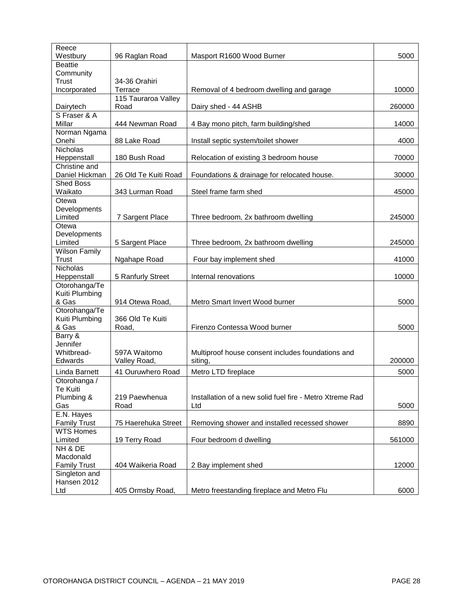| Reece<br>Westbury                 | 96 Raglan Road       | Masport R1600 Wood Burner                                | 5000   |
|-----------------------------------|----------------------|----------------------------------------------------------|--------|
| <b>Beattie</b>                    |                      |                                                          |        |
| Community<br><b>Trust</b>         | 34-36 Orahiri        |                                                          |        |
| Incorporated                      | Terrace              | Removal of 4 bedroom dwelling and garage                 | 10000  |
|                                   | 115 Tauraroa Valley  |                                                          |        |
| Dairytech                         | Road                 | Dairy shed - 44 ASHB                                     | 260000 |
| S Fraser & A                      |                      |                                                          |        |
| Millar                            | 444 Newman Road      | 4 Bay mono pitch, farm building/shed                     | 14000  |
| Norman Ngama<br>Onehi             | 88 Lake Road         | Install septic system/toilet shower                      | 4000   |
| <b>Nicholas</b>                   |                      |                                                          |        |
| Heppenstall                       | 180 Bush Road        | Relocation of existing 3 bedroom house                   | 70000  |
| Christine and                     |                      |                                                          |        |
| Daniel Hickman                    | 26 Old Te Kuiti Road | Foundations & drainage for relocated house.              | 30000  |
| <b>Shed Boss</b><br>Waikato       | 343 Lurman Road      | Steel frame farm shed                                    | 45000  |
| Otewa                             |                      |                                                          |        |
| Developments                      |                      |                                                          |        |
| Limited                           | 7 Sargent Place      | Three bedroom, 2x bathroom dwelling                      | 245000 |
| Otewa                             |                      |                                                          |        |
| Developments<br>Limited           | 5 Sargent Place      | Three bedroom, 2x bathroom dwelling                      | 245000 |
| <b>Wilson Family</b>              |                      |                                                          |        |
| <b>Trust</b>                      | Ngahape Road         | Four bay implement shed                                  | 41000  |
| <b>Nicholas</b>                   |                      |                                                          |        |
| Heppenstall                       | 5 Ranfurly Street    | Internal renovations                                     | 10000  |
| Otorohanga/Te                     |                      |                                                          |        |
| Kuiti Plumbing<br>& Gas           | 914 Otewa Road,      | Metro Smart Invert Wood burner                           | 5000   |
| Otorohanga/Te                     |                      |                                                          |        |
| Kuiti Plumbing                    | 366 Old Te Kuiti     |                                                          |        |
| & Gas                             | Road,                | Firenzo Contessa Wood burner                             | 5000   |
| Barry &                           |                      |                                                          |        |
| Jennifer<br>Whitbread-            | 597A Waitomo         | Multiproof house consent includes foundations and        |        |
| Edwards                           | Valley Road,         | siting,                                                  | 200000 |
| Linda Barnett                     | 41 Ouruwhero Road    | Metro LTD fireplace                                      | 5000   |
| Otorohanga /                      |                      |                                                          |        |
| Te Kuiti                          |                      |                                                          |        |
| Plumbing &                        | 219 Paewhenua        | Installation of a new solid fuel fire - Metro Xtreme Rad |        |
| Gas                               | Road                 | Ltd                                                      | 5000   |
| E.N. Hayes<br><b>Family Trust</b> | 75 Haerehuka Street  | Removing shower and installed recessed shower            | 8890   |
| <b>WTS Homes</b>                  |                      |                                                          |        |
| Limited                           | 19 Terry Road        | Four bedroom d dwelling                                  | 561000 |
| NH & DE                           |                      |                                                          |        |
| Macdonald                         |                      |                                                          |        |
| <b>Family Trust</b>               | 404 Waikeria Road    | 2 Bay implement shed                                     | 12000  |
| Singleton and<br>Hansen 2012      |                      |                                                          |        |
| Ltd                               | 405 Ormsby Road,     | Metro freestanding fireplace and Metro Flu               | 6000   |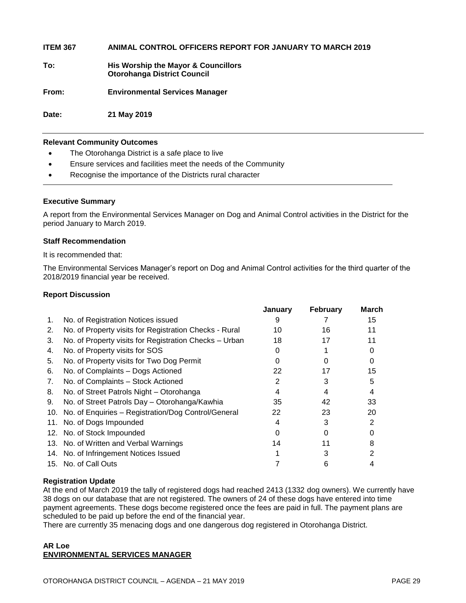**ITEM 367 ANIMAL CONTROL OFFICERS REPORT FOR JANUARY TO MARCH 2019**

**To: His Worship the Mayor & Councillors Otorohanga District Council**

**From: Environmental Services Manager**

**Date: 21 May 2019**

#### **Relevant Community Outcomes**

- The Otorohanga District is a safe place to live
- Ensure services and facilities meet the needs of the Community
- Recognise the importance of the Districts rural character

#### **Executive Summary**

A report from the Environmental Services Manager on Dog and Animal Control activities in the District for the period January to March 2019.

#### **Staff Recommendation**

It is recommended that:

The Environmental Services Manager's report on Dog and Animal Control activities for the third quarter of the 2018/2019 financial year be received.

#### **Report Discussion**

|    |                                                         | January | <b>February</b> | March |
|----|---------------------------------------------------------|---------|-----------------|-------|
| 1. | No. of Registration Notices issued                      | 9       |                 | 15    |
| 2. | No. of Property visits for Registration Checks - Rural  | 10      | 16              | 11    |
| 3. | No. of Property visits for Registration Checks - Urban  | 18      | 17              | 11    |
| 4. | No. of Property visits for SOS                          |         |                 |       |
| 5. | No. of Property visits for Two Dog Permit               |         |                 | Ω     |
| 6. | No. of Complaints - Dogs Actioned                       | 22      | 17              | 15    |
| 7. | No. of Complaints - Stock Actioned                      | 2       | 3               | 5     |
| 8. | No. of Street Patrols Night - Otorohanga                | 4       | 4               | 4     |
| 9. | No. of Street Patrols Day - Otorohanga/Kawhia           | 35      | 42              | 33    |
|    | 10. No. of Enquiries - Registration/Dog Control/General | 22      | 23              | 20    |
|    | 11. No. of Dogs Impounded                               |         |                 | 2     |
|    | 12. No. of Stock Impounded                              |         |                 |       |
|    | 13. No. of Written and Verbal Warnings                  | 14      |                 |       |
|    | 14. No. of Infringement Notices Issued                  |         |                 |       |
|    | 15. No. of Call Outs                                    |         | 6               |       |

#### **Registration Update**

At the end of March 2019 the tally of registered dogs had reached 2413 (1332 dog owners). We currently have 38 dogs on our database that are not registered. The owners of 24 of these dogs have entered into time payment agreements. These dogs become registered once the fees are paid in full. The payment plans are scheduled to be paid up before the end of the financial year.

There are currently 35 menacing dogs and one dangerous dog registered in Otorohanga District.

#### **AR Loe ENVIRONMENTAL SERVICES MANAGER**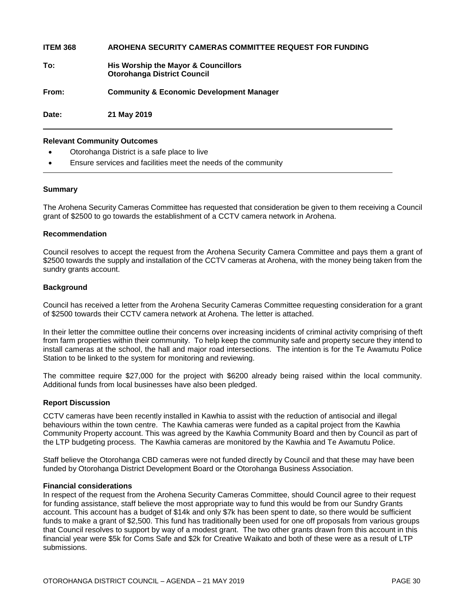**ITEM 368 AROHENA SECURITY CAMERAS COMMITTEE REQUEST FOR FUNDING To: His Worship the Mayor & Councillors Otorohanga District Council From: Community & Economic Development Manager Date: 21 May 2019**

#### **Relevant Community Outcomes**

- Otorohanga District is a safe place to live
- Ensure services and facilities meet the needs of the community

#### **Summary**

The Arohena Security Cameras Committee has requested that consideration be given to them receiving a Council grant of \$2500 to go towards the establishment of a CCTV camera network in Arohena.

#### **Recommendation**

Council resolves to accept the request from the Arohena Security Camera Committee and pays them a grant of \$2500 towards the supply and installation of the CCTV cameras at Arohena, with the money being taken from the sundry grants account.

#### **Background**

Council has received a letter from the Arohena Security Cameras Committee requesting consideration for a grant of \$2500 towards their CCTV camera network at Arohena. The letter is attached.

In their letter the committee outline their concerns over increasing incidents of criminal activity comprising of theft from farm properties within their community. To help keep the community safe and property secure they intend to install cameras at the school, the hall and major road intersections. The intention is for the Te Awamutu Police Station to be linked to the system for monitoring and reviewing.

The committee require \$27,000 for the project with \$6200 already being raised within the local community. Additional funds from local businesses have also been pledged.

#### **Report Discussion**

CCTV cameras have been recently installed in Kawhia to assist with the reduction of antisocial and illegal behaviours within the town centre. The Kawhia cameras were funded as a capital project from the Kawhia Community Property account. This was agreed by the Kawhia Community Board and then by Council as part of the LTP budgeting process. The Kawhia cameras are monitored by the Kawhia and Te Awamutu Police.

Staff believe the Otorohanga CBD cameras were not funded directly by Council and that these may have been funded by Otorohanga District Development Board or the Otorohanga Business Association.

#### **Financial considerations**

In respect of the request from the Arohena Security Cameras Committee, should Council agree to their request for funding assistance, staff believe the most appropriate way to fund this would be from our Sundry Grants account. This account has a budget of \$14k and only \$7k has been spent to date, so there would be sufficient funds to make a grant of \$2,500. This fund has traditionally been used for one off proposals from various groups that Council resolves to support by way of a modest grant. The two other grants drawn from this account in this financial year were \$5k for Coms Safe and \$2k for Creative Waikato and both of these were as a result of LTP submissions.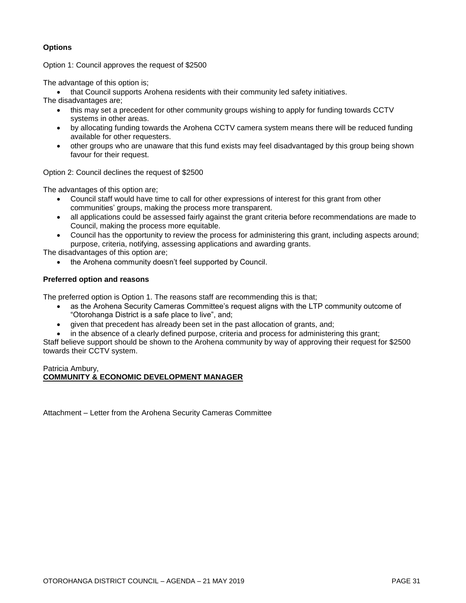#### **Options**

Option 1: Council approves the request of \$2500

The advantage of this option is;

• that Council supports Arohena residents with their community led safety initiatives.

The disadvantages are;

- this may set a precedent for other community groups wishing to apply for funding towards CCTV systems in other areas.
- by allocating funding towards the Arohena CCTV camera system means there will be reduced funding available for other requesters.
- other groups who are unaware that this fund exists may feel disadvantaged by this group being shown favour for their request.

Option 2: Council declines the request of \$2500

The advantages of this option are;

- Council staff would have time to call for other expressions of interest for this grant from other communities' groups, making the process more transparent.
- all applications could be assessed fairly against the grant criteria before recommendations are made to Council, making the process more equitable.
- Council has the opportunity to review the process for administering this grant, including aspects around; purpose, criteria, notifying, assessing applications and awarding grants.

The disadvantages of this option are;

the Arohena community doesn't feel supported by Council.

#### **Preferred option and reasons**

The preferred option is Option 1. The reasons staff are recommending this is that;

- as the Arohena Security Cameras Committee's request aligns with the LTP community outcome of "Otorohanga District is a safe place to live", and;
- given that precedent has already been set in the past allocation of grants, and;

 in the absence of a clearly defined purpose, criteria and process for administering this grant; Staff believe support should be shown to the Arohena community by way of approving their request for \$2500 towards their CCTV system.

#### Patricia Ambury, **COMMUNITY & ECONOMIC DEVELOPMENT MANAGER**

Attachment – Letter from the Arohena Security Cameras Committee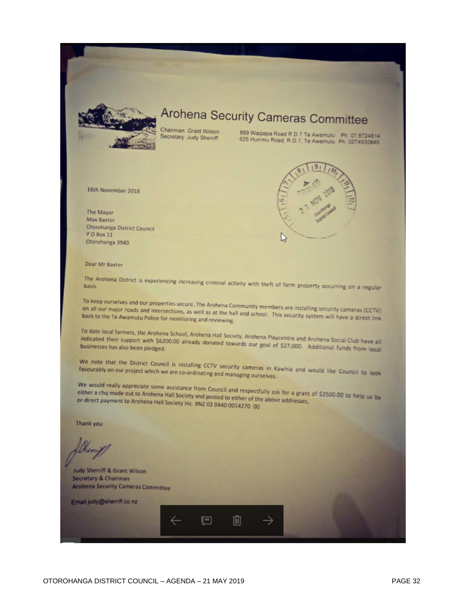

## Arohena Security Cameras Committee

Chairman Grant Wilson Secretary Judy Sherriff

869 Walpapa Road R D 7 Te Awamutu Ph 07 8724814<br>625 Huinmu Road, R D 7, Te Awamutu Ph 0274930845



16th November 2018

The Mayor Max Baxter Otorohanga District Council PO Box 11 Otorohanga 3940

Dear Mr Baxter

The Arohena District is experiencing increasing criminal activity with theft of farm property occurring on a regular basis.

To keep ourselves and our properties secure, The Arohena Community members are installing security cameras (CCTV) on all our major roads and intersections, as well as at the hall and school. This security system will have a direct link<br>back to the Te Awamutu Police for monitoring and reviewing. back to the Te Awamutu Police for monitoring and reviewing.

To date local farmers, the Arohena School, Arohena Hall Society, Arohena Playcentre and Arohena Social Club have all<br>indicated their support with \$6200.00 already donated towards our enal of \$22,000. Additional Social Club indicated their support with \$6200.00 already donated towards our goal of \$27,000. Additional funds from local<br>businesses has also been pledged. businesses has also been pledged.

We note that the District Council is installing CCTV security cameras in Kawhia and would like Council to look favourably on our project which we are co-ordinating and managing ourselves.

We would really appreciate some assistance from Council and respectfully ask for a grant of \$2500.00 to help us by<br>either a chq made out to Arohena Hall Society and posted to either of the appre addresses either a chq made out to Arohena Hall Society and posted to either of the above addresses,<br>or direct payment to Arohena Hall Society and posted to either of the above addresses, or direct payment to Archena Hall Society Inc. BNZ 02 0440 0014270 00

戸

而

Thank you

Judy Sherriff & Grant Wilson Secretary & Chairman **Archena Security Cameras Committee** 

Email judy@sherriff co.nz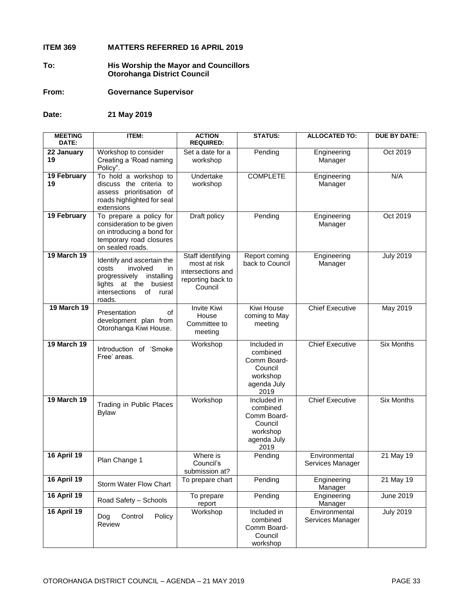#### **ITEM 369 MATTERS REFERRED 16 APRIL 2019**

- **To: His Worship the Mayor and Councillors Otorohanga District Council**
- **From: Governance Supervisor**

**Date: 21 May 2019**

| <b>MEETING</b><br>DATE: | <b>ITEM:</b>                                                                                                                                            | <b>ACTION</b><br><b>REQUIRED:</b>                                                      | <b>STATUS:</b>                                                                       | <b>ALLOCATED TO:</b>              | <b>DUE BY DATE:</b> |
|-------------------------|---------------------------------------------------------------------------------------------------------------------------------------------------------|----------------------------------------------------------------------------------------|--------------------------------------------------------------------------------------|-----------------------------------|---------------------|
| 22 January<br>19        | Workshop to consider<br>Creating a 'Road naming<br>Policy".                                                                                             | Set a date for a<br>workshop                                                           | Pending                                                                              | Engineering<br>Manager            | Oct 2019            |
| 19 February<br>19       | To hold a workshop to<br>discuss the criteria to<br>assess prioritisation of<br>roads highlighted for seal<br>extensions                                | Undertake<br>workshop                                                                  | <b>COMPLETE</b>                                                                      | Engineering<br>Manager            | N/A                 |
| 19 February             | To prepare a policy for<br>consideration to be given<br>on introducing a bond for<br>temporary road closures<br>on sealed roads.                        | Draft policy                                                                           | Pending                                                                              | Engineering<br>Manager            | Oct 2019            |
| <b>19 March 19</b>      | Identify and ascertain the<br>involved<br>costs<br>in<br>progressively installing<br>lights at the<br>busiest<br>intersections<br>of<br>rural<br>roads. | Staff identifying<br>most at risk<br>intersections and<br>reporting back to<br>Council | Report coming<br>back to Council                                                     | Engineering<br>Manager            | <b>July 2019</b>    |
| <b>19 March 19</b>      | Presentation<br>of<br>development plan from<br>Otorohanga Kiwi House.                                                                                   | <b>Invite Kiwi</b><br>House<br>Committee to<br>meeting                                 | <b>Kiwi House</b><br>coming to May<br>meeting                                        | <b>Chief Executive</b>            | May 2019            |
| <b>19 March 19</b>      | Introduction of 'Smoke<br>Free' areas.                                                                                                                  | Workshop                                                                               | Included in<br>combined<br>Comm Board-<br>Council<br>workshop<br>agenda July<br>2019 | <b>Chief Executive</b>            | <b>Six Months</b>   |
| <b>19 March 19</b>      | Trading in Public Places<br><b>Bylaw</b>                                                                                                                | Workshop                                                                               | Included in<br>combined<br>Comm Board-<br>Council<br>workshop<br>agenda July<br>2019 | <b>Chief Executive</b>            | <b>Six Months</b>   |
| <b>16 April 19</b>      | Plan Change 1                                                                                                                                           | Where is<br>Council's<br>submission at?                                                | Pending                                                                              | Environmental<br>Services Manager | 21 May 19           |
| <b>16 April 19</b>      | Storm Water Flow Chart                                                                                                                                  | To prepare chart                                                                       | Pending                                                                              | Engineering<br>Manager            | 21 May 19           |
| <b>16 April 19</b>      | Road Safety - Schools                                                                                                                                   | To prepare<br>report                                                                   | Pending                                                                              | Engineering<br>Manager            | June 2019           |
| <b>16 April 19</b>      | Control<br>Policy<br>Dog<br>Review                                                                                                                      | Workshop                                                                               | Included in<br>combined<br>Comm Board-<br>Council<br>workshop                        | Environmental<br>Services Manager | <b>July 2019</b>    |